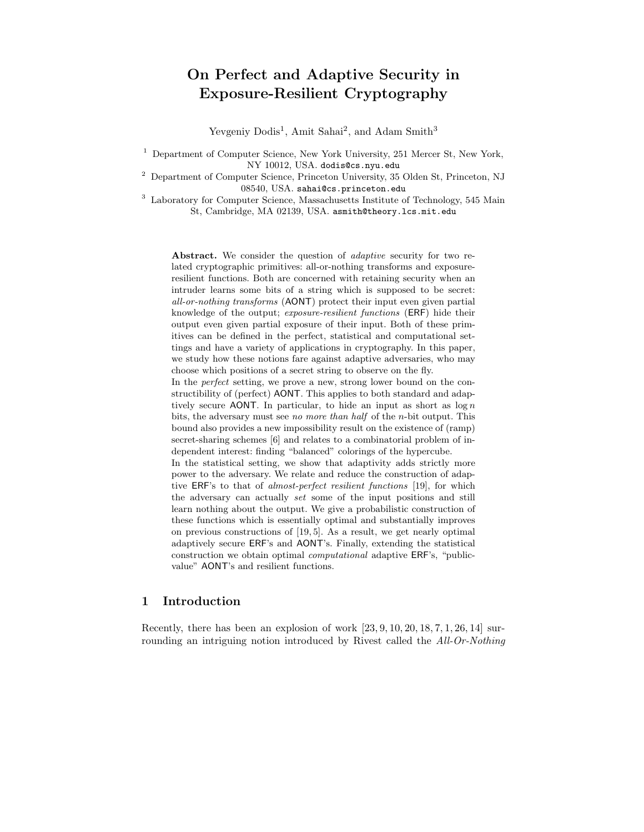# On Perfect and Adaptive Security in Exposure-Resilient Cryptography

Yevgeniy Dodis<sup>1</sup>, Amit Sahai<sup>2</sup>, and Adam Smith<sup>3</sup>

<sup>1</sup> Department of Computer Science, New York University, 251 Mercer St, New York, NY 10012, USA. dodis@cs.nyu.edu

<sup>2</sup> Department of Computer Science, Princeton University, 35 Olden St, Princeton, NJ 08540, USA. sahai@cs.princeton.edu

<sup>3</sup> Laboratory for Computer Science, Massachusetts Institute of Technology, 545 Main St, Cambridge, MA 02139, USA. asmith@theory.lcs.mit.edu

Abstract. We consider the question of *adaptive* security for two related cryptographic primitives: all-or-nothing transforms and exposureresilient functions. Both are concerned with retaining security when an intruder learns some bits of a string which is supposed to be secret: all-or-nothing transforms (AONT) protect their input even given partial knowledge of the output; exposure-resilient functions (ERF) hide their output even given partial exposure of their input. Both of these primitives can be defined in the perfect, statistical and computational settings and have a variety of applications in cryptography. In this paper, we study how these notions fare against adaptive adversaries, who may choose which positions of a secret string to observe on the fly.

In the perfect setting, we prove a new, strong lower bound on the constructibility of (perfect) AONT. This applies to both standard and adaptively secure AONT. In particular, to hide an input as short as  $\log n$ bits, the adversary must see no more than half of the n-bit output. This bound also provides a new impossibility result on the existence of (ramp) secret-sharing schemes [6] and relates to a combinatorial problem of independent interest: finding "balanced" colorings of the hypercube.

In the statistical setting, we show that adaptivity adds strictly more power to the adversary. We relate and reduce the construction of adaptive ERF's to that of almost-perfect resilient functions [19], for which the adversary can actually set some of the input positions and still learn nothing about the output. We give a probabilistic construction of these functions which is essentially optimal and substantially improves on previous constructions of [19, 5]. As a result, we get nearly optimal adaptively secure ERF's and AONT's. Finally, extending the statistical construction we obtain optimal computational adaptive ERF's, "publicvalue" AONT's and resilient functions.

# 1 Introduction

Recently, there has been an explosion of work [23, 9, 10, 20, 18, 7, 1, 26, 14] surrounding an intriguing notion introduced by Rivest called the *All-Or-Nothing*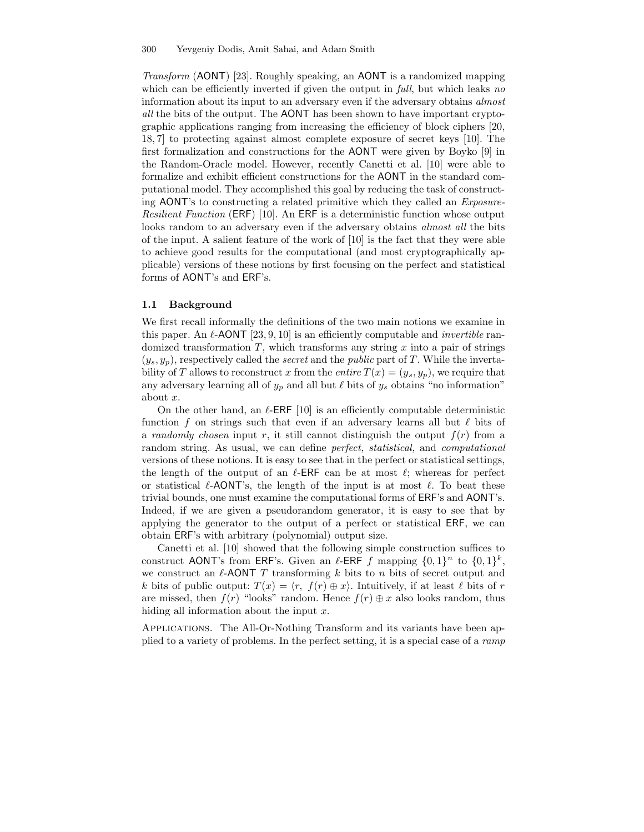Transform (AONT) [23]. Roughly speaking, an AONT is a randomized mapping which can be efficiently inverted if given the output in *full*, but which leaks no information about its input to an adversary even if the adversary obtains almost all the bits of the output. The AONT has been shown to have important cryptographic applications ranging from increasing the efficiency of block ciphers [20, 18, 7] to protecting against almost complete exposure of secret keys [10]. The first formalization and constructions for the AONT were given by Boyko [9] in the Random-Oracle model. However, recently Canetti et al. [10] were able to formalize and exhibit efficient constructions for the AONT in the standard computational model. They accomplished this goal by reducing the task of constructing AONT's to constructing a related primitive which they called an Exposure-Resilient Function (ERF) [10]. An ERF is a deterministic function whose output looks random to an adversary even if the adversary obtains *almost all* the bits of the input. A salient feature of the work of [10] is the fact that they were able to achieve good results for the computational (and most cryptographically applicable) versions of these notions by first focusing on the perfect and statistical forms of AONT's and ERF's.

#### 1.1 Background

We first recall informally the definitions of the two main notions we examine in this paper. An  $\ell$ -AONT [23, 9, 10] is an efficiently computable and *invertible* randomized transformation  $T$ , which transforms any string  $x$  into a pair of strings  $(y_s, y_p)$ , respectively called the *secret* and the *public* part of T. While the invertability of T allows to reconstruct x from the entire  $T(x) = (y_s, y_p)$ , we require that any adversary learning all of  $y_p$  and all but  $\ell$  bits of  $y_s$  obtains "no information" about x.

On the other hand, an  $\ell$ -ERF [10] is an efficiently computable deterministic function f on strings such that even if an adversary learns all but  $\ell$  bits of a *randomly chosen* input r, it still cannot distinguish the output  $f(r)$  from a random string. As usual, we can define *perfect, statistical*, and *computational* versions of these notions. It is easy to see that in the perfect or statistical settings, the length of the output of an  $\ell$ -ERF can be at most  $\ell$ ; whereas for perfect or statistical  $\ell$ -AONT's, the length of the input is at most  $\ell$ . To beat these trivial bounds, one must examine the computational forms of ERF's and AONT's. Indeed, if we are given a pseudorandom generator, it is easy to see that by applying the generator to the output of a perfect or statistical ERF, we can obtain ERF's with arbitrary (polynomial) output size.

Canetti et al. [10] showed that the following simple construction suffices to construct AONT's from ERF's. Given an  $\ell$ -ERF f mapping  $\{0, 1\}^n$  to  $\{0, 1\}^k$ , we construct an  $\ell$ -AONT T transforming k bits to n bits of secret output and k bits of public output:  $T(x) = \langle r, f(r) \oplus x \rangle$ . Intuitively, if at least  $\ell$  bits of r are missed, then  $f(r)$  "looks" random. Hence  $f(r) \oplus x$  also looks random, thus hiding all information about the input  $x$ .

Applications. The All-Or-Nothing Transform and its variants have been applied to a variety of problems. In the perfect setting, it is a special case of a ramp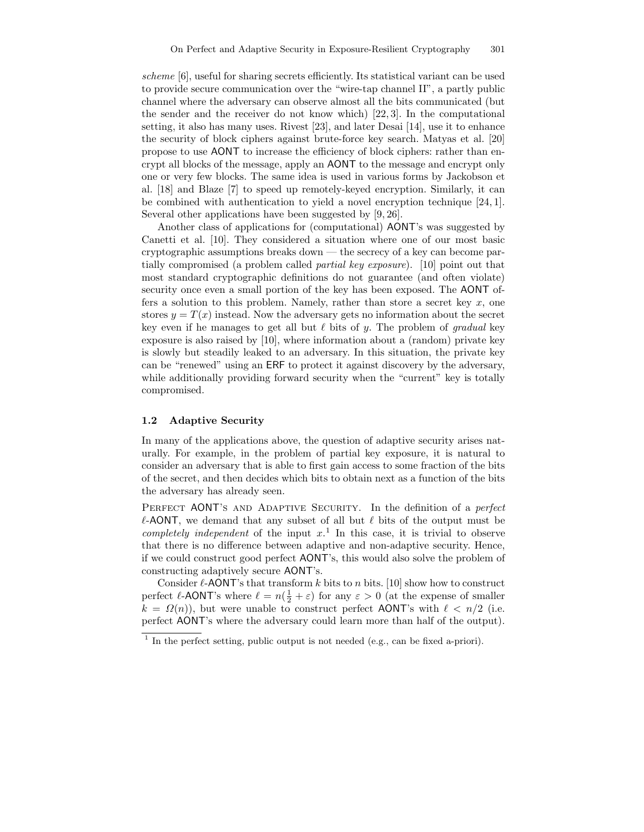scheme [6], useful for sharing secrets efficiently. Its statistical variant can be used to provide secure communication over the "wire-tap channel II", a partly public channel where the adversary can observe almost all the bits communicated (but the sender and the receiver do not know which) [22, 3]. In the computational setting, it also has many uses. Rivest [23], and later Desai [14], use it to enhance the security of block ciphers against brute-force key search. Matyas et al. [20] propose to use AONT to increase the efficiency of block ciphers: rather than encrypt all blocks of the message, apply an AONT to the message and encrypt only one or very few blocks. The same idea is used in various forms by Jackobson et al. [18] and Blaze [7] to speed up remotely-keyed encryption. Similarly, it can be combined with authentication to yield a novel encryption technique [24, 1]. Several other applications have been suggested by [9, 26].

Another class of applications for (computational) AONT's was suggested by Canetti et al. [10]. They considered a situation where one of our most basic cryptographic assumptions breaks down — the secrecy of a key can become partially compromised (a problem called partial key exposure). [10] point out that most standard cryptographic definitions do not guarantee (and often violate) security once even a small portion of the key has been exposed. The AONT offers a solution to this problem. Namely, rather than store a secret key  $x$ , one stores  $y = T(x)$  instead. Now the adversary gets no information about the secret key even if he manages to get all but  $\ell$  bits of y. The problem of gradual key exposure is also raised by [10], where information about a (random) private key is slowly but steadily leaked to an adversary. In this situation, the private key can be "renewed" using an ERF to protect it against discovery by the adversary, while additionally providing forward security when the "current" key is totally compromised.

### 1.2 Adaptive Security

In many of the applications above, the question of adaptive security arises naturally. For example, in the problem of partial key exposure, it is natural to consider an adversary that is able to first gain access to some fraction of the bits of the secret, and then decides which bits to obtain next as a function of the bits the adversary has already seen.

PERFECT AONT'S AND ADAPTIVE SECURITY. In the definition of a perfect  $\ell$ -AONT, we demand that any subset of all but  $\ell$  bits of the output must be completely independent of the input  $x<sup>1</sup>$ . In this case, it is trivial to observe that there is no difference between adaptive and non-adaptive security. Hence, if we could construct good perfect AONT's, this would also solve the problem of constructing adaptively secure AONT's.

Consider  $\ell$ -AONT's that transform k bits to n bits. [10] show how to construct perfect  $\ell$ -AONT's where  $\ell = n(\frac{1}{2} + \varepsilon)$  for any  $\varepsilon > 0$  (at the expense of smaller  $k = \Omega(n)$ , but were unable to construct perfect AONT's with  $\ell < n/2$  (i.e. perfect AONT's where the adversary could learn more than half of the output).

<sup>&</sup>lt;sup>1</sup> In the perfect setting, public output is not needed (e.g., can be fixed a-priori).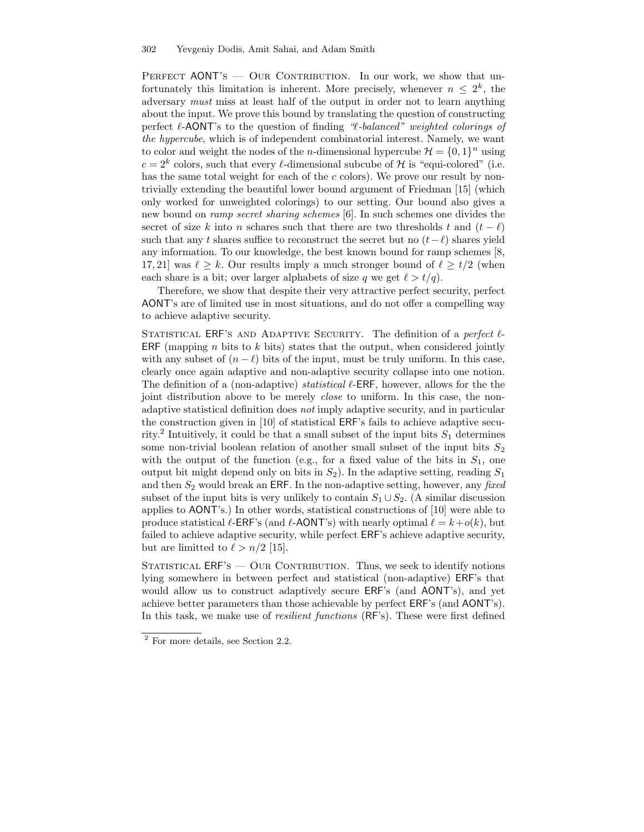PERFECT AONT'S  $-$  OUR CONTRIBUTION. In our work, we show that unfortunately this limitation is inherent. More precisely, whenever  $n \leq 2^k$ , the adversary must miss at least half of the output in order not to learn anything about the input. We prove this bound by translating the question of constructing perfect  $\ell$ -AONT's to the question of finding " $\ell$ -balanced" weighted colorings of the hypercube, which is of independent combinatorial interest. Namely, we want to color and weight the nodes of the *n*-dimensional hypercube  $\mathcal{H} = \{0, 1\}^n$  using  $c = 2<sup>k</sup>$  colors, such that every  $\ell$ -dimensional subcube of H is "equi-colored" (i.e. has the same total weight for each of the  $c$  colors). We prove our result by nontrivially extending the beautiful lower bound argument of Friedman [15] (which only worked for unweighted colorings) to our setting. Our bound also gives a new bound on ramp secret sharing schemes [6]. In such schemes one divides the secret of size k into n schares such that there are two thresholds t and  $(t - \ell)$ such that any t shares suffice to reconstruct the secret but no  $(t-\ell)$  shares yield any information. To our knowledge, the best known bound for ramp schemes [8, 17, 21] was  $\ell \geq k$ . Our results imply a much stronger bound of  $\ell \geq t/2$  (when each share is a bit; over larger alphabets of size q we get  $\ell > t/q$ .

Therefore, we show that despite their very attractive perfect security, perfect AONT's are of limited use in most situations, and do not offer a compelling way to achieve adaptive security.

STATISTICAL ERF'S AND ADAPTIVE SECURITY. The definition of a perfect  $\ell$ -ERF (mapping n bits to k bits) states that the output, when considered jointly with any subset of  $(n - \ell)$  bits of the input, must be truly uniform. In this case, clearly once again adaptive and non-adaptive security collapse into one notion. The definition of a (non-adaptive) *statistical*  $\ell$ -ERF, however, allows for the the joint distribution above to be merely *close* to uniform. In this case, the nonadaptive statistical definition does not imply adaptive security, and in particular the construction given in [10] of statistical ERF's fails to achieve adaptive security.<sup>2</sup> Intuitively, it could be that a small subset of the input bits  $S_1$  determines some non-trivial boolean relation of another small subset of the input bits  $S_2$ with the output of the function (e.g., for a fixed value of the bits in  $S_1$ , one output bit might depend only on bits in  $S_2$ ). In the adaptive setting, reading  $S_1$ and then  $S_2$  would break an ERF. In the non-adaptive setting, however, any fixed subset of the input bits is very unlikely to contain  $S_1 \cup S_2$ . (A similar discussion applies to AONT's.) In other words, statistical constructions of [10] were able to produce statistical  $\ell$ -ERF's (and  $\ell$ -AONT's) with nearly optimal  $\ell = k+o(k)$ , but failed to achieve adaptive security, while perfect ERF's achieve adaptive security, but are limitted to  $\ell > n/2$  [15].

STATISTICAL ERF'S — OUR CONTRIBUTION. Thus, we seek to identify notions lying somewhere in between perfect and statistical (non-adaptive) ERF's that would allow us to construct adaptively secure ERF's (and AONT's), and yet achieve better parameters than those achievable by perfect ERF's (and AONT's). In this task, we make use of *resilient functions* (RF's). These were first defined

<sup>2</sup> For more details, see Section 2.2.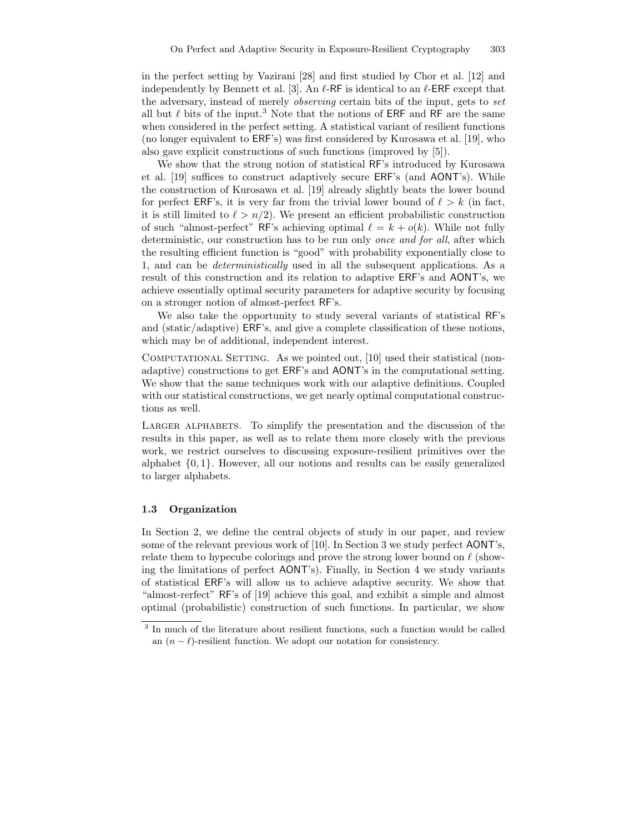in the perfect setting by Vazirani [28] and first studied by Chor et al. [12] and independently by Bennett et al. [3]. An  $\ell$ -RF is identical to an  $\ell$ -ERF except that the adversary, instead of merely observing certain bits of the input, gets to set all but  $\ell$  bits of the input.<sup>3</sup> Note that the notions of ERF and RF are the same when considered in the perfect setting. A statistical variant of resilient functions (no longer equivalent to ERF's) was first considered by Kurosawa et al. [19], who also gave explicit constructions of such functions (improved by [5]).

We show that the strong notion of statistical RF's introduced by Kurosawa et al. [19] suffices to construct adaptively secure ERF's (and AONT's). While the construction of Kurosawa et al. [19] already slightly beats the lower bound for perfect ERF's, it is very far from the trivial lower bound of  $\ell > k$  (in fact, it is still limited to  $\ell > n/2$ ). We present an efficient probabilistic construction of such "almost-perfect" RF's achieving optimal  $\ell = k + o(k)$ . While not fully deterministic, our construction has to be run only once and for all, after which the resulting efficient function is "good" with probability exponentially close to 1, and can be deterministically used in all the subsequent applications. As a result of this construction and its relation to adaptive ERF's and AONT's, we achieve essentially optimal security parameters for adaptive security by focusing on a stronger notion of almost-perfect RF's.

We also take the opportunity to study several variants of statistical RF's and (static/adaptive) ERF's, and give a complete classification of these notions, which may be of additional, independent interest.

COMPUTATIONAL SETTING. As we pointed out, [10] used their statistical (nonadaptive) constructions to get ERF's and AONT's in the computational setting. We show that the same techniques work with our adaptive definitions. Coupled with our statistical constructions, we get nearly optimal computational constructions as well.

LARGER ALPHABETS. To simplify the presentation and the discussion of the results in this paper, as well as to relate them more closely with the previous work, we restrict ourselves to discussing exposure-resilient primitives over the alphabet  $\{0, 1\}$ . However, all our notions and results can be easily generalized to larger alphabets.

#### 1.3 Organization

In Section 2, we define the central objects of study in our paper, and review some of the relevant previous work of [10]. In Section 3 we study perfect AONT's, relate them to hypecube colorings and prove the strong lower bound on  $\ell$  (showing the limitations of perfect AONT's). Finally, in Section 4 we study variants of statistical ERF's will allow us to achieve adaptive security. We show that "almost-rerfect" RF's of [19] achieve this goal, and exhibit a simple and almost optimal (probabilistic) construction of such functions. In particular, we show

<sup>&</sup>lt;sup>3</sup> In much of the literature about resilient functions, such a function would be called an  $(n - \ell)$ -resilient function. We adopt our notation for consistency.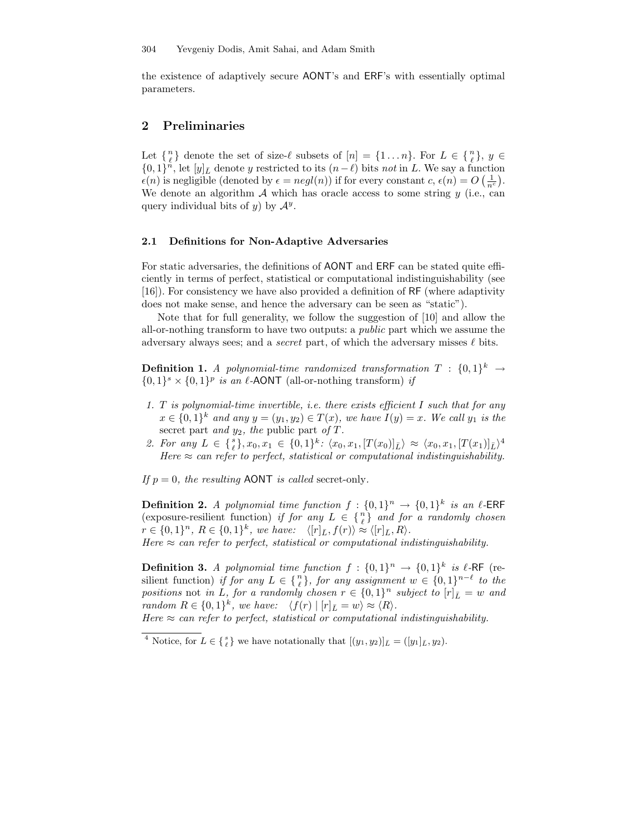the existence of adaptively secure AONT's and ERF's with essentially optimal parameters.

# 2 Preliminaries

Let  $\{n\}$  denote the set of size- $\ell$  subsets of  $[n] = \{1 \dots n\}$ . For  $L \in \{n\}$ ,  $y \in$  $\{0,1\}^n$ , let  $[y]_{\bar{L}}$  denote y restricted to its  $(n-\ell)$  bits not in L. We say a function  $\epsilon(n)$  is negligible (denoted by  $\epsilon = negl(n)$ ) if for every constant  $c, \epsilon(n) = O\left(\frac{1}{n^c}\right)$ . We denote an algorithm  $\mathcal A$  which has oracle access to some string  $y$  (i.e., can query individual bits of  $y$ ) by  $\mathcal{A}^y$ .

### 2.1 Definitions for Non-Adaptive Adversaries

For static adversaries, the definitions of AONT and ERF can be stated quite efficiently in terms of perfect, statistical or computational indistinguishability (see [16]). For consistency we have also provided a definition of RF (where adaptivity does not make sense, and hence the adversary can be seen as "static").

Note that for full generality, we follow the suggestion of [10] and allow the all-or-nothing transform to have two outputs: a public part which we assume the adversary always sees; and a *secret* part, of which the adversary misses  $\ell$  bits.

**Definition 1.** A polynomial-time randomized transformation  $T : \{0,1\}^k \rightarrow$  $\{0,1\}^s \times \{0,1\}^p$  is an  $\ell$ -AONT (all-or-nothing transform) if

- 1. T is polynomial-time invertible, i.e. there exists efficient  $I$  such that for any  $x \in \{0,1\}^k$  and any  $y = (y_1, y_2) \in T(x)$ , we have  $I(y) = x$ . We call  $y_1$  is the secret part and  $y_2$ , the public part of T.
- 2. For any  $L \in \{ \binom{s}{\ell}, x_0, x_1 \in \{0,1\}^k \colon \langle x_0, x_1, [T(x_0)]_{\bar{L}} \rangle \approx \langle x_0, x_1, [T(x_1)]_{\bar{L}} \rangle^4$ Here  $\approx$  can refer to perfect, statistical or computational indistinguishability.

If  $p = 0$ , the resulting AONT is called secret-only.

**Definition 2.** A polynomial time function  $f: \{0,1\}^n \to \{0,1\}^k$  is an  $\ell$ -ERF (exposure-resilient function) if for any  $L \in \{n\}$  and for a randomly chosen  $r \in \{0,1\}^n$ ,  $R \in \{0,1\}^k$ , we have:  $\langle [r]_{\bar{L}}, f(r) \rangle \approx \langle [r]_{\bar{L}}, R \rangle$ . Here  $\approx$  can refer to perfect, statistical or computational indistinguishability.

**Definition 3.** A polynomial time function  $f: \{0,1\}^n \to \{0,1\}^k$  is  $\ell$ -RF (resilient function) if for any  $L \in \{n\}$ , for any assignment  $w \in \{0,1\}^{n-\ell}$  to the positions not in L, for a randomly chosen  $r \in \{0,1\}^n$  subject to  $[r]_L = w$  and  $p$ random  $R \in \{0,1\}^k$ , we have:  $\langle f(r) | [r]_L = w \rangle \approx \langle R \rangle$ .

Here  $\approx$  can refer to perfect, statistical or computational indistinguishability.

<sup>&</sup>lt;sup>4</sup> Notice, for  $L \in \{g\}$  we have notationally that  $[(y_1, y_2)]_{\bar{L}} = ([y_1]_{\bar{L}}, y_2)$ .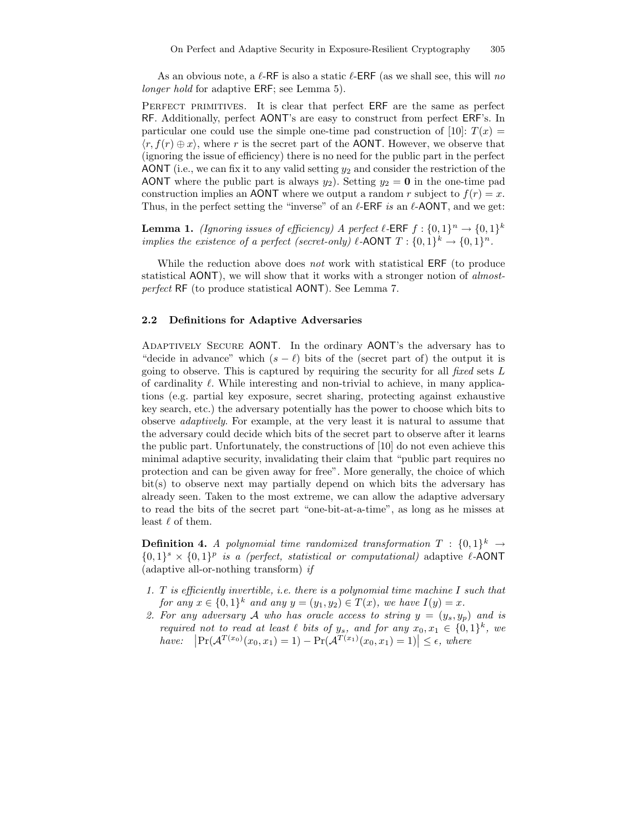As an obvious note, a  $\ell$ -RF is also a static  $\ell$ -ERF (as we shall see, this will no longer hold for adaptive ERF; see Lemma 5).

PERFECT PRIMITIVES. It is clear that perfect ERF are the same as perfect RF. Additionally, perfect AONT's are easy to construct from perfect ERF's. In particular one could use the simple one-time pad construction of [10]:  $T(x) =$  $\langle r, f(r) \oplus x \rangle$ , where r is the secret part of the AONT. However, we observe that (ignoring the issue of efficiency) there is no need for the public part in the perfect AONT (i.e., we can fix it to any valid setting  $y_2$  and consider the restriction of the AONT where the public part is always  $y_2$ ). Setting  $y_2 = 0$  in the one-time pad construction implies an AONT where we output a random r subject to  $f(r) = x$ . Thus, in the perfect setting the "inverse" of an  $\ell$ -ERF is an  $\ell$ -AONT, and we get:

**Lemma 1.** (Ignoring issues of efficiency) A perfect  $\ell$ -ERF  $f : \{0,1\}^n \to \{0,1\}^k$ implies the existence of a perfect (secret-only)  $\ell$ -AONT  $T : \{0,1\}^k \to \{0,1\}^n$ .

While the reduction above does *not* work with statistical ERF (to produce statistical AONT), we will show that it works with a stronger notion of almostperfect RF (to produce statistical AONT). See Lemma 7.

#### 2.2 Definitions for Adaptive Adversaries

Adaptively Secure AONT. In the ordinary AONT's the adversary has to "decide in advance" which  $(s - \ell)$  bits of the (secret part of) the output it is going to observe. This is captured by requiring the security for all fixed sets  $L$ of cardinality  $\ell$ . While interesting and non-trivial to achieve, in many applications (e.g. partial key exposure, secret sharing, protecting against exhaustive key search, etc.) the adversary potentially has the power to choose which bits to observe adaptively. For example, at the very least it is natural to assume that the adversary could decide which bits of the secret part to observe after it learns the public part. Unfortunately, the constructions of [10] do not even achieve this minimal adaptive security, invalidating their claim that "public part requires no protection and can be given away for free". More generally, the choice of which bit(s) to observe next may partially depend on which bits the adversary has already seen. Taken to the most extreme, we can allow the adaptive adversary to read the bits of the secret part "one-bit-at-a-time", as long as he misses at least  $\ell$  of them.

**Definition 4.** A polynomial time randomized transformation  $T : \{0,1\}^k \rightarrow$  $\{0,1\}^s \times \{0,1\}^p$  is a (perfect, statistical or computational) adaptive  $\ell$ -AONT (adaptive all-or-nothing transform) if

- 1. T is efficiently invertible, i.e. there is a polynomial time machine I such that for any  $x \in \{0,1\}^k$  and any  $y = (y_1, y_2) \in T(x)$ , we have  $I(y) = x$ .
- 2. For any adversary A who has oracle access to string  $y = (y_s, y_p)$  and is required not to read at least  $\ell$  bits of  $y_s$ , and for any  $x_0, x_1 \in \{0, 1\}^k$ , we have:  $\left|\Pr(A^{T(x_0)}(x_0, x_1) = 1) - \Pr(A^{T(x_1)}(x_0, x_1) = 1)\right| \le \epsilon$ , where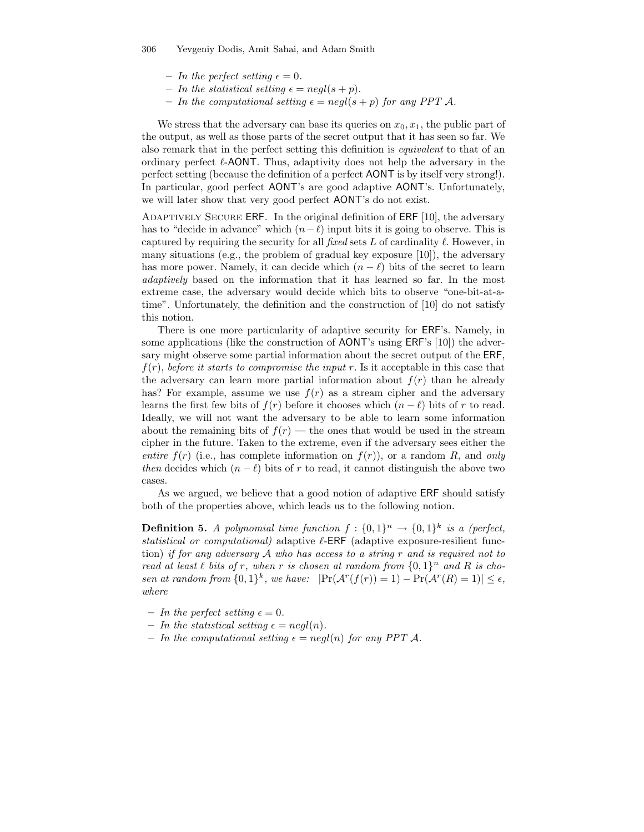- In the perfect setting  $\epsilon = 0$ .
- In the statistical setting  $\epsilon = negl(s + p)$ .
- In the computational setting  $\epsilon = \text{neq}(s + p)$  for any PPT A.

We stress that the adversary can base its queries on  $x_0, x_1$ , the public part of the output, as well as those parts of the secret output that it has seen so far. We also remark that in the perfect setting this definition is equivalent to that of an ordinary perfect  $\ell$ -AONT. Thus, adaptivity does not help the adversary in the perfect setting (because the definition of a perfect AONT is by itself very strong!). In particular, good perfect AONT's are good adaptive AONT's. Unfortunately, we will later show that very good perfect AONT's do not exist.

ADAPTIVELY SECURE ERF. In the original definition of ERF [10], the adversary has to "decide in advance" which  $(n-\ell)$  input bits it is going to observe. This is captured by requiring the security for all fixed sets  $L$  of cardinality  $\ell$ . However, in many situations (e.g., the problem of gradual key exposure  $[10]$ ), the adversary has more power. Namely, it can decide which  $(n - \ell)$  bits of the secret to learn adaptively based on the information that it has learned so far. In the most extreme case, the adversary would decide which bits to observe "one-bit-at-atime". Unfortunately, the definition and the construction of [10] do not satisfy this notion.

There is one more particularity of adaptive security for ERF's. Namely, in some applications (like the construction of AONT's using ERF's [10]) the adversary might observe some partial information about the secret output of the ERF,  $f(r)$ , before it starts to compromise the input r. Is it acceptable in this case that the adversary can learn more partial information about  $f(r)$  than he already has? For example, assume we use  $f(r)$  as a stream cipher and the adversary learns the first few bits of  $f(r)$  before it chooses which  $(n - \ell)$  bits of r to read. Ideally, we will not want the adversary to be able to learn some information about the remaining bits of  $f(r)$  — the ones that would be used in the stream cipher in the future. Taken to the extreme, even if the adversary sees either the entire  $f(r)$  (i.e., has complete information on  $f(r)$ ), or a random R, and only then decides which  $(n - \ell)$  bits of r to read, it cannot distinguish the above two cases.

As we argued, we believe that a good notion of adaptive ERF should satisfy both of the properties above, which leads us to the following notion.

**Definition 5.** A polynomial time function  $f: \{0,1\}^n \to \{0,1\}^k$  is a (perfect, statistical or computational) adaptive  $\ell$ -ERF (adaptive exposure-resilient function) if for any adversary  $A$  who has access to a string r and is required not to read at least  $\ell$  bits of r, when r is chosen at random from  $\{0,1\}^n$  and R is chosen at random from  $\{0,1\}^k$ , we have:  $|\Pr(\mathcal{A}^r(f(r)) = 1) - \Pr(\mathcal{A}^r(R) = 1)| \le \epsilon$ , where

- In the perfect setting  $\epsilon = 0$ .
- In the statistical setting  $\epsilon = negl(n)$ .
- In the computational setting  $\epsilon = negl(n)$  for any PPT A.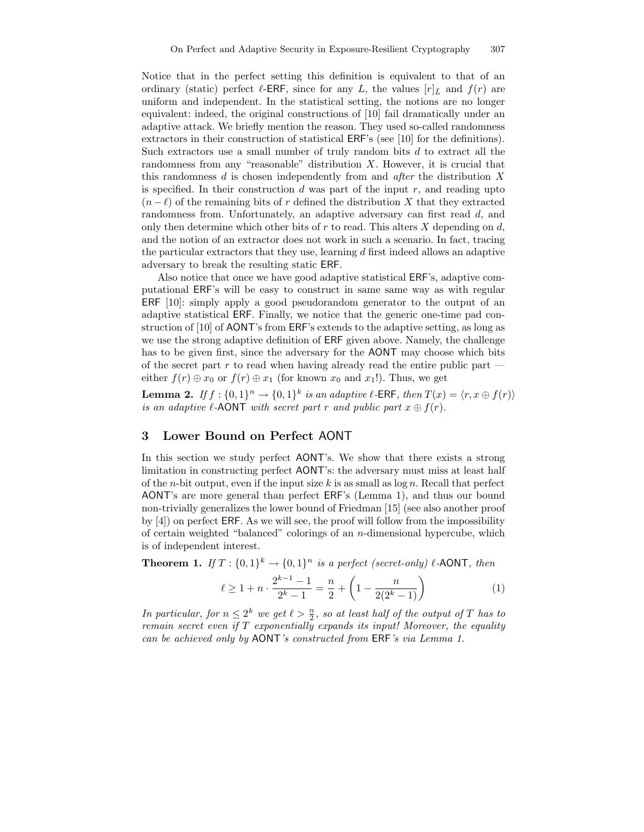Notice that in the perfect setting this definition is equivalent to that of an ordinary (static) perfect  $\ell$ -ERF, since for any L, the values  $[r]_{\bar{L}}$  and  $f(r)$  are uniform and independent. In the statistical setting, the notions are no longer equivalent: indeed, the original constructions of [10] fail dramatically under an adaptive attack. We briefly mention the reason. They used so-called randomness extractors in their construction of statistical ERF's (see [10] for the definitions). Such extractors use a small number of truly random bits d to extract all the randomness from any "reasonable" distribution X. However, it is crucial that this randomness d is chosen independently from and *after* the distribution X is specified. In their construction  $d$  was part of the input  $r$ , and reading upto  $(n - \ell)$  of the remaining bits of r defined the distribution X that they extracted randomness from. Unfortunately, an adaptive adversary can first read d, and only then determine which other bits of  $r$  to read. This alters  $X$  depending on  $d$ , and the notion of an extractor does not work in such a scenario. In fact, tracing the particular extractors that they use, learning d first indeed allows an adaptive adversary to break the resulting static ERF.

Also notice that once we have good adaptive statistical ERF's, adaptive computational ERF's will be easy to construct in same same way as with regular ERF [10]: simply apply a good pseudorandom generator to the output of an adaptive statistical ERF. Finally, we notice that the generic one-time pad construction of [10] of AONT's from ERF's extends to the adaptive setting, as long as we use the strong adaptive definition of ERF given above. Namely, the challenge has to be given first, since the adversary for the AONT may choose which bits of the secret part r to read when having already read the entire public part  $$ either  $f(r) \oplus x_0$  or  $f(r) \oplus x_1$  (for known  $x_0$  and  $x_1$ !). Thus, we get

**Lemma 2.** If  $f : \{0,1\}^n \to \{0,1\}^k$  is an adaptive  $\ell$ -ERF, then  $T(x) = \langle r, x \oplus f(r) \rangle$ is an adaptive  $\ell$ -AONT with secret part r and public part  $x \oplus f(r)$ .

# 3 Lower Bound on Perfect AONT

In this section we study perfect AONT's. We show that there exists a strong limitation in constructing perfect AONT's: the adversary must miss at least half of the *n*-bit output, even if the input size k is as small as  $\log n$ . Recall that perfect AONT's are more general than perfect ERF's (Lemma 1), and thus our bound non-trivially generalizes the lower bound of Friedman [15] (see also another proof by [4]) on perfect ERF. As we will see, the proof will follow from the impossibility of certain weighted "balanced" colorings of an n-dimensional hypercube, which is of independent interest.

**Theorem 1.** If  $T: \{0,1\}^k \to \{0,1\}^n$  is a perfect (secret-only)  $\ell$ -AONT, then

$$
\ell \ge 1 + n \cdot \frac{2^{k-1} - 1}{2^k - 1} = \frac{n}{2} + \left(1 - \frac{n}{2(2^k - 1)}\right) \tag{1}
$$

In particular, for  $n \leq 2^k$  we get  $\ell > \frac{n}{2}$ , so at least half of the output of T has to remain secret even if T exponentially expands its input! Moreover, the equality can be achieved only by AONT's constructed from ERF's via Lemma 1.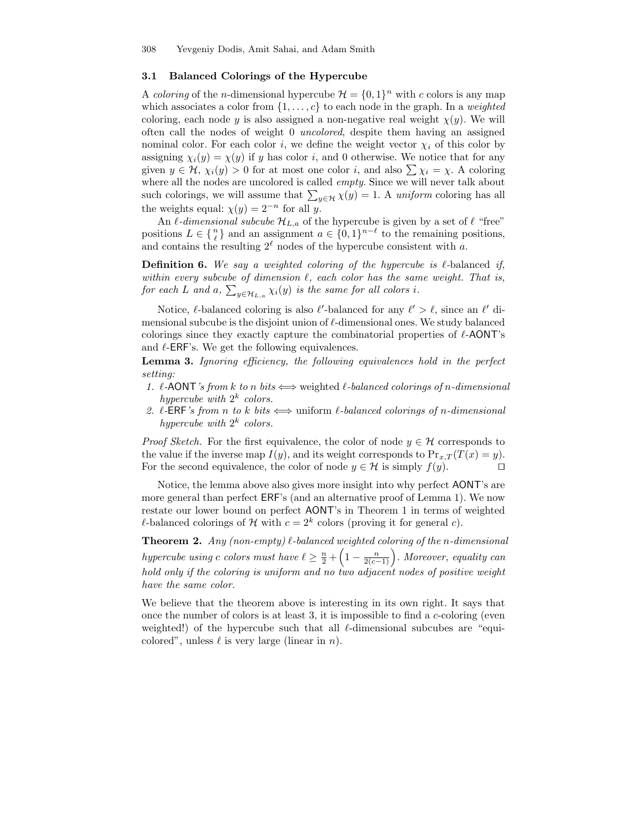### 3.1 Balanced Colorings of the Hypercube

A *coloring* of the *n*-dimensional hypercube  $\mathcal{H} = \{0, 1\}^n$  with *c* colors is any map which associates a color from  $\{1, \ldots, c\}$  to each node in the graph. In a *weighted* coloring, each node y is also assigned a non-negative real weight  $\chi(y)$ . We will often call the nodes of weight 0 uncolored, despite them having an assigned nominal color. For each color i, we define the weight vector  $\chi_i$  of this color by assigning  $\chi_i(y) = \chi(y)$  if y has color i, and 0 otherwise. We notice that for any given  $y \in H$ ,  $\chi_i(y) > 0$  for at most one color i, and also  $\sum \chi_i = \chi$ . A coloring where all the nodes are uncolored is called *empty*. Since we will never talk about such colorings, we will assume that  $\sum_{y \in \mathcal{H}} \chi(y) = 1$ . A uniform coloring has all the weights equal:  $\chi(y) = 2^{-n}$  for all y.

An  $\ell$ -dimensional subcube  $\mathcal{H}_{L,a}$  of the hypercube is given by a set of  $\ell$  "free" positions  $L \in \{n\}$  and an assignment  $a \in \{0,1\}^{n-\ell}$  to the remaining positions, and contains the resulting  $2^{\ell}$  nodes of the hypercube consistent with a.

**Definition 6.** We say a weighted coloring of the hypercube is  $\ell$ -balanced if, within every subcube of dimension  $\ell$ , each color has the same weight. That is, for each L and a,  $\sum_{y\in \mathcal{H}_{L,a}}\chi_i(y)$  is the same for all colors i.

Notice,  $\ell$ -balanced coloring is also  $\ell'$ -balanced for any  $\ell' > \ell$ , since an  $\ell'$  dimensional subcube is the disjoint union of  $\ell$ -dimensional ones. We study balanced colorings since they exactly capture the combinatorial properties of  $\ell$ -AONT's and  $\ell$ -ERF's. We get the following equivalences.

Lemma 3. Ignoring efficiency, the following equivalences hold in the perfect setting:

- 1.  $\ell$ -AONT's from k to n bits  $\Longleftrightarrow$  weighted  $\ell$ -balanced colorings of n-dimensional hypercube with  $2^k$  colors.
- 2.  $\ell$ -ERF's from n to k bits  $\Longleftrightarrow$  uniform  $\ell$ -balanced colorings of n-dimensional hypercube with  $2^k$  colors.

*Proof Sketch.* For the first equivalence, the color of node  $y \in \mathcal{H}$  corresponds to the value if the inverse map  $I(y)$ , and its weight corresponds to  $Pr_{x,T}(T(x) = y)$ . For the second equivalence, the color of node  $y \in \mathcal{H}$  is simply  $f(y)$ .

Notice, the lemma above also gives more insight into why perfect AONT's are more general than perfect ERF's (and an alternative proof of Lemma 1). We now restate our lower bound on perfect AONT's in Theorem 1 in terms of weighted  $\ell$ -balanced colorings of  $\mathcal H$  with  $c = 2^k$  colors (proving it for general  $c$ ).

**Theorem 2.** Any (non-empty)  $\ell$ -balanced weighted coloring of the n-dimensional hypercube using c colors must have  $\ell \geq \frac{n}{2} + \left(1 - \frac{n}{2(c-1)}\right)$ . Moreover, equality can hold only if the coloring is uniform and no two adjacent nodes of positive weight have the same color.

We believe that the theorem above is interesting in its own right. It says that once the number of colors is at least 3, it is impossible to find a  $c$ -coloring (even weighted!) of the hypercube such that all  $\ell$ -dimensional subcubes are "equicolored", unless  $\ell$  is very large (linear in n).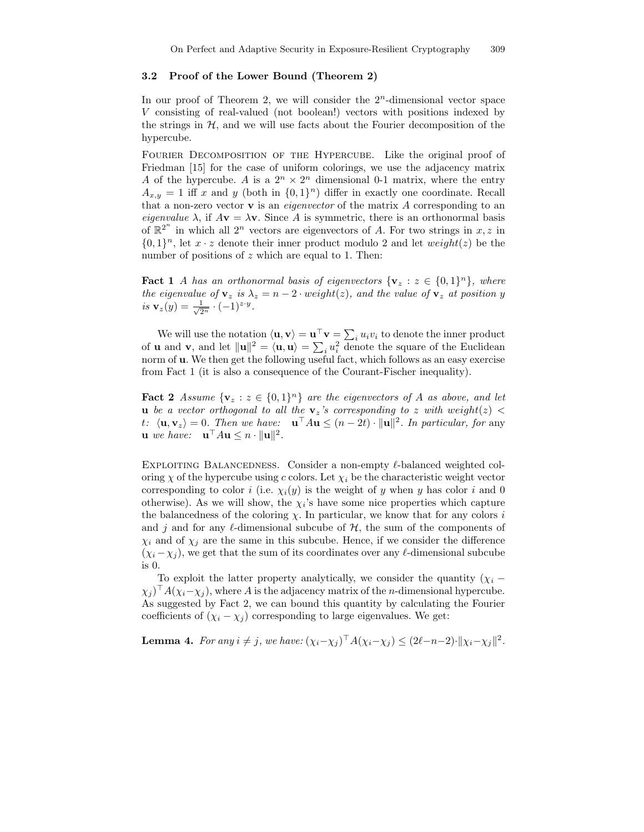## 3.2 Proof of the Lower Bound (Theorem 2)

In our proof of Theorem 2, we will consider the  $2<sup>n</sup>$ -dimensional vector space V consisting of real-valued (not boolean!) vectors with positions indexed by the strings in  $H$ , and we will use facts about the Fourier decomposition of the hypercube.

FOURIER DECOMPOSITION OF THE HYPERCUBE. Like the original proof of Friedman [15] for the case of uniform colorings, we use the adjacency matrix A of the hypercube. A is a  $2^n \times 2^n$  dimensional 0-1 matrix, where the entry  $A_{x,y} = 1$  iff x and y (both in  $\{0,1\}^n$ ) differ in exactly one coordinate. Recall that a non-zero vector  $\bf{v}$  is an *eigenvector* of the matrix  $\bf{A}$  corresponding to an eigenvalue  $\lambda$ , if  $A\mathbf{v} = \lambda \mathbf{v}$ . Since A is symmetric, there is an orthonormal basis of  $\mathbb{R}^{2^n}$  in which all  $2^n$  vectors are eigenvectors of A. For two strings in  $x, z$  in  $\{0, 1\}^n$ , let  $x \cdot z$  denote their inner product modulo 2 and let  $weight(z)$  be the number of positions of  $z$  which are equal to 1. Then:

**Fact 1** A has an orthonormal basis of eigenvectors  $\{v_z : z \in \{0,1\}^n\}$ , where the eigenvalue of  $v_z$  is  $\lambda_z = n - 2 \cdot weight(z)$ , and the value of  $v_z$  at position y is  $\mathbf{v}_z(y) = \frac{1}{\sqrt{2^n}} \cdot (-1)^{z \cdot y}$ .

We will use the notation  $\langle \mathbf{u}, \mathbf{v} \rangle = \mathbf{u}^\top \mathbf{v} = \sum_i u_i v_i$  to denote the inner product of **u** and **v**, and let  $\|\mathbf{u}\|^2 = \langle \mathbf{u}, \mathbf{u} \rangle = \sum_i u_i^2$  denote the square of the Euclidean norm of **u**. We then get the following useful fact, which follows as an easy exercise from Fact 1 (it is also a consequence of the Courant-Fischer inequality).

**Fact 2** Assume  $\{v_z : z \in \{0,1\}^n\}$  are the eigenvectors of A as above, and let **u** be a vector orthogonal to all the  $v_z$ 's corresponding to z with weight(z)  $\lt$ t:  $\langle \mathbf{u}, \mathbf{v}_z \rangle = 0$ . Then we have:  $\mathbf{u}^\top A \mathbf{u} \leq (n - 2t) \cdot ||\mathbf{u}||^2$ . In particular, for any **u** we have:  $\mathbf{u}^\top A \mathbf{u} \leq n \cdot ||\mathbf{u}||^2$ .

EXPLOITING BALANCEDNESS. Consider a non-empty  $\ell$ -balanced weighted coloring  $\chi$  of the hypercube using c colors. Let  $\chi_i$  be the characteristic weight vector corresponding to color i (i.e.  $\chi_i(y)$  is the weight of y when y has color i and 0 otherwise). As we will show, the  $\chi_i$ 's have some nice properties which capture the balancedness of the coloring  $\chi$ . In particular, we know that for any colors i and j and for any  $\ell$ -dimensional subcube of  $H$ , the sum of the components of  $\chi_i$  and of  $\chi_j$  are the same in this subcube. Hence, if we consider the difference  $(\chi_i - \chi_j)$ , we get that the sum of its coordinates over any  $\ell$ -dimensional subcube is 0.

To exploit the latter property analytically, we consider the quantity  $(\chi_i (\chi_j)$ <sup>1</sup>  $A(\chi_i-\chi_j)$ , where A is the adjacency matrix of the *n*-dimensional hypercube. As suggested by Fact 2, we can bound this quantity by calculating the Fourier coefficients of  $(\chi_i - \chi_j)$  corresponding to large eigenvalues. We get:

**Lemma 4.** For any  $i \neq j$ , we have:  $(\chi_i - \chi_j)^{\top} A (\chi_i - \chi_j) \leq (2\ell - n - 2) \cdot ||\chi_i - \chi_j||^2$ .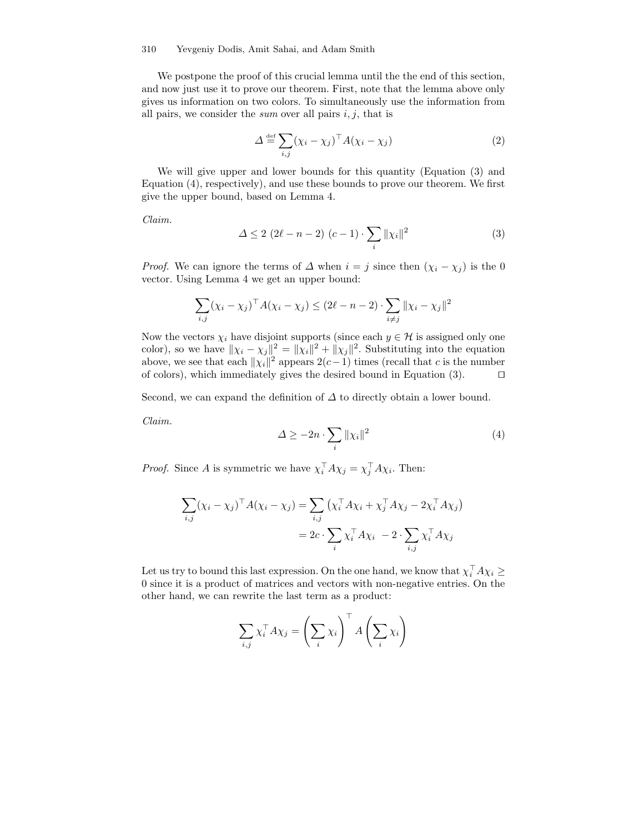#### 310 Yevgeniy Dodis, Amit Sahai, and Adam Smith

We postpone the proof of this crucial lemma until the the end of this section, and now just use it to prove our theorem. First, note that the lemma above only gives us information on two colors. To simultaneously use the information from all pairs, we consider the *sum* over all pairs  $i, j$ , that is

$$
\Delta \stackrel{\text{def}}{=} \sum_{i,j} (\chi_i - \chi_j)^\top A (\chi_i - \chi_j) \tag{2}
$$

We will give upper and lower bounds for this quantity (Equation (3) and Equation (4), respectively), and use these bounds to prove our theorem. We first give the upper bound, based on Lemma 4.

Claim.

$$
\Delta \le 2 (2\ell - n - 2) (c - 1) \cdot \sum_{i} ||\chi_{i}||^{2}
$$
 (3)

*Proof.* We can ignore the terms of  $\Delta$  when  $i = j$  since then  $(\chi_i - \chi_j)$  is the 0 vector. Using Lemma 4 we get an upper bound:

$$
\sum_{i,j} (\chi_i - \chi_j)^{\top} A (\chi_i - \chi_j) \le (2\ell - n - 2) \cdot \sum_{i \ne j} ||\chi_i - \chi_j||^2
$$

Now the vectors  $\chi_i$  have disjoint supports (since each  $y \in \mathcal{H}$  is assigned only one color), so we have  $\|\chi_i - \chi_j\|^2 = \|\chi_i\|^2 + \|\chi_j\|^2$ . Substituting into the equation above, we see that each  $\|\chi_i\|^2$  appears  $2(c-1)$  times (recall that c is the number of colors), which immediately gives the desired bound in Equation  $(3)$ .  $\Box$ 

Second, we can expand the definition of  $\Delta$  to directly obtain a lower bound.

Claim.

$$
\Delta \ge -2n \cdot \sum_{i} ||\chi_i||^2 \tag{4}
$$

*Proof.* Since A is symmetric we have  $\chi_i^{\dagger} A \chi_j = \chi_j^{\dagger} A \chi_i$ . Then:

$$
\sum_{i,j} (\chi_i - \chi_j)^{\top} A (\chi_i - \chi_j) = \sum_{i,j} (\chi_i^{\top} A \chi_i + \chi_j^{\top} A \chi_j - 2 \chi_i^{\top} A \chi_j)
$$

$$
= 2c \cdot \sum_i \chi_i^{\top} A \chi_i - 2 \cdot \sum_{i,j} \chi_i^{\top} A \chi_j
$$

Let us try to bound this last expression. On the one hand, we know that  $\chi_i^{\perp} A \chi_i \geq$ 0 since it is a product of matrices and vectors with non-negative entries. On the other hand, we can rewrite the last term as a product:

$$
\sum_{i,j} \chi_i^{\top} A \chi_j = \left(\sum_i \chi_i\right)^{\top} A \left(\sum_i \chi_i\right)
$$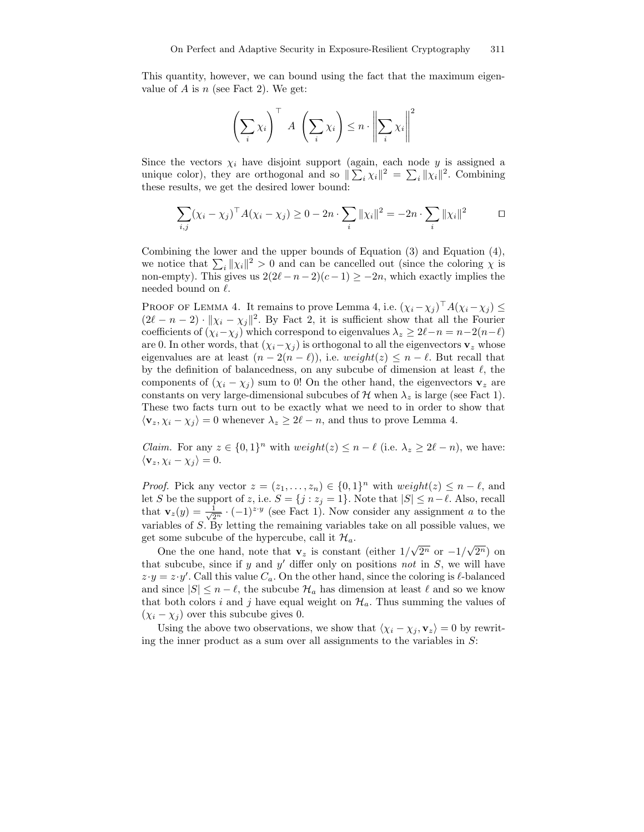This quantity, however, we can bound using the fact that the maximum eigenvalue of A is  $n$  (see Fact 2). We get:

$$
\left(\sum_{i} \chi_{i}\right)^{\top} A \left(\sum_{i} \chi_{i}\right) \leq n \cdot \left\|\sum_{i} \chi_{i}\right\|^{2}
$$

Since the vectors  $\chi_i$  have disjoint support (again, each node y is assigned a unique color), they are orthogonal and so  $\sum_i \chi_i \|^2 = \sum_i |\chi_i|^2$ . Combining these results, we get the desired lower bound:

$$
\sum_{i,j} (\chi_i - \chi_j)^{\top} A (\chi_i - \chi_j) \ge 0 - 2n \cdot \sum_i ||\chi_i||^2 = -2n \cdot \sum_i ||\chi_i||^2 \qquad \Box
$$

Combining the lower and the upper bounds of Equation (3) and Equation (4), we notice that  $\sum_i ||\chi_i||^2 > 0$  and can be cancelled out (since the coloring  $\chi$  is non-empty). This gives us  $2(2\ell - n - 2)(c - 1) \ge -2n$ , which exactly implies the needed bound on  $\ell$ .

PROOF OF LEMMA 4. It remains to prove Lemma 4, i.e.  $(\chi_i - \chi_j)$   $A(\chi_i - \chi_j) \le$  $(2\ell - n - 2) \cdot ||\chi_i - \chi_j||^2$ . By Fact 2, it is sufficient show that all the Fourier coefficients of  $(\chi_i-\chi_j)$  which correspond to eigenvalues  $\lambda_z \geq 2\ell - n = n-2(n-\ell)$ are 0. In other words, that  $(\chi_i-\chi_j)$  is orthogonal to all the eigenvectors  $\mathbf{v}_z$  whose eigenvalues are at least  $(n - 2(n - \ell))$ , i.e.  $weight(z) \leq n - \ell$ . But recall that by the definition of balancedness, on any subcube of dimension at least  $\ell$ , the components of  $(\chi_i - \chi_j)$  sum to 0! On the other hand, the eigenvectors  $\mathbf{v}_z$  are constants on very large-dimensional subcubes of H when  $\lambda_z$  is large (see Fact 1). These two facts turn out to be exactly what we need to in order to show that  $\langle \mathbf{v}_z, \chi_i - \chi_j \rangle = 0$  whenever  $\lambda_z \geq 2\ell - n$ , and thus to prove Lemma 4.

*Claim.* For any  $z \in \{0,1\}^n$  with  $weight(z) \leq n - \ell$  (i.e.  $\lambda_z \geq 2\ell - n$ ), we have:  $\langle \mathbf{v}_z, \chi_i - \chi_j \rangle = 0.$ 

*Proof.* Pick any vector  $z = (z_1, \ldots, z_n) \in \{0, 1\}^n$  with  $weight(z) \leq n - \ell$ , and let S be the support of z, i.e.  $S = \{j : z_j = 1\}$ . Note that  $|S| \le n - \ell$ . Also, recall that  $\mathbf{v}_z(y) = \frac{1}{\sqrt{2^n}} \cdot (-1)^{z \cdot y}$  (see Fact 1). Now consider any assignment a to the variables of  $S$ . By letting the remaining variables take on all possible values, we get some subcube of the hypercube, call it  $\mathcal{H}_a$ .

One the one hand, note that  $\mathbf{v}_z$  is constant (either  $1/\sqrt{2^n}$  or  $-1/\sqrt{2^n}$ ) on that subcube, since if y and  $y'$  differ only on positions not in  $S$ , we will have  $z \cdot y = z \cdot y'$ . Call this value  $C_a$ . On the other hand, since the coloring is  $\ell$ -balanced and since  $|S| \leq n - \ell$ , the subcube  $\mathcal{H}_a$  has dimension at least  $\ell$  and so we know that both colors i and j have equal weight on  $\mathcal{H}_a$ . Thus summing the values of  $(\chi_i - \chi_j)$  over this subcube gives 0.

Using the above two observations, we show that  $\langle \chi_i - \chi_j , v_z \rangle = 0$  by rewriting the inner product as a sum over all assignments to the variables in  $S$ :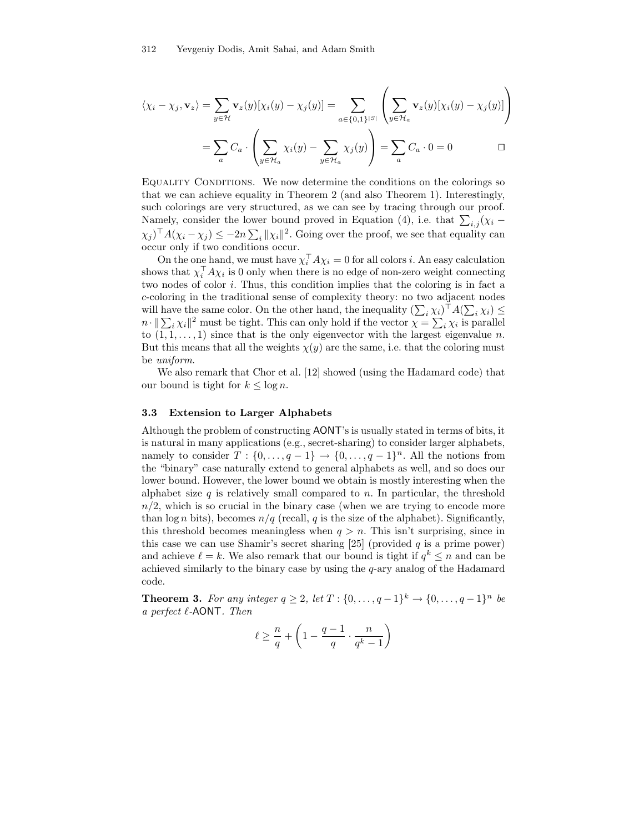$$
\langle \chi_i - \chi_j, \mathbf{v}_z \rangle = \sum_{y \in \mathcal{H}} \mathbf{v}_z(y) [\chi_i(y) - \chi_j(y)] = \sum_{a \in \{0, 1\}^{|S|}} \left( \sum_{y \in \mathcal{H}_a} \mathbf{v}_z(y) [\chi_i(y) - \chi_j(y)] \right)
$$

$$
= \sum_a C_a \cdot \left( \sum_{y \in \mathcal{H}_a} \chi_i(y) - \sum_{y \in \mathcal{H}_a} \chi_j(y) \right) = \sum_a C_a \cdot 0 = 0 \qquad \Box
$$

EQUALITY CONDITIONS. We now determine the conditions on the colorings so that we can achieve equality in Theorem 2 (and also Theorem 1). Interestingly, such colorings are very structured, as we can see by tracing through our proof. Namely, consider the lower bound proved in Equation (4), i.e. that  $\sum_{i,j} (\chi_i (\chi_i)^{\top} A (\chi_i - \chi_j) \leq -2n \sum_i ||\chi_i||^2$ . Going over the proof, we see that equality can occur only if two conditions occur.

On the one hand, we must have  $\chi_i^+ A \chi_i = 0$  for all colors *i*. An easy calculation shows that  $\chi_i^{\dagger} A \chi_i$  is 0 only when there is no edge of non-zero weight connecting two nodes of color i. Thus, this condition implies that the coloring is in fact a c-coloring in the traditional sense of complexity theory: no two adjacent nodes will have the same color. On the other hand, the inequality  $(\sum_i \chi_i)^{\dagger} A(\sum_i \chi_i) \le$  $n \cdot ||\sum_i \chi_i||^2$  must be tight. This can only hold if the vector  $\chi = \sum_i \chi_i$  is parallel to  $(1, 1, \ldots, 1)$  since that is the only eigenvector with the largest eigenvalue n. But this means that all the weights  $\chi(y)$  are the same, i.e. that the coloring must be uniform.

We also remark that Chor et al. [12] showed (using the Hadamard code) that our bound is tight for  $k \leq \log n$ .

## 3.3 Extension to Larger Alphabets

Although the problem of constructing AONT's is usually stated in terms of bits, it is natural in many applications (e.g., secret-sharing) to consider larger alphabets, namely to consider  $T: \{0, \ldots, q-1\} \to \{0, \ldots, q-1\}^n$ . All the notions from the "binary" case naturally extend to general alphabets as well, and so does our lower bound. However, the lower bound we obtain is mostly interesting when the alphabet size q is relatively small compared to n. In particular, the threshold  $n/2$ , which is so crucial in the binary case (when we are trying to encode more than  $\log n$  bits), becomes  $n/q$  (recall, q is the size of the alphabet). Significantly, this threshold becomes meaningless when  $q > n$ . This isn't surprising, since in this case we can use Shamir's secret sharing [25] (provided  $q$  is a prime power) and achieve  $\ell = k$ . We also remark that our bound is tight if  $q^k \leq n$  and can be achieved similarly to the binary case by using the  $q$ -ary analog of the Hadamard code.

**Theorem 3.** For any integer  $q \ge 2$ , let  $T : \{0, ..., q-1\}^k \to \{0, ..., q-1\}^n$  be a perfect  $\ell$ -AONT. Then

$$
\ell \ge \frac{n}{q} + \left(1 - \frac{q-1}{q} \cdot \frac{n}{q^k - 1}\right)
$$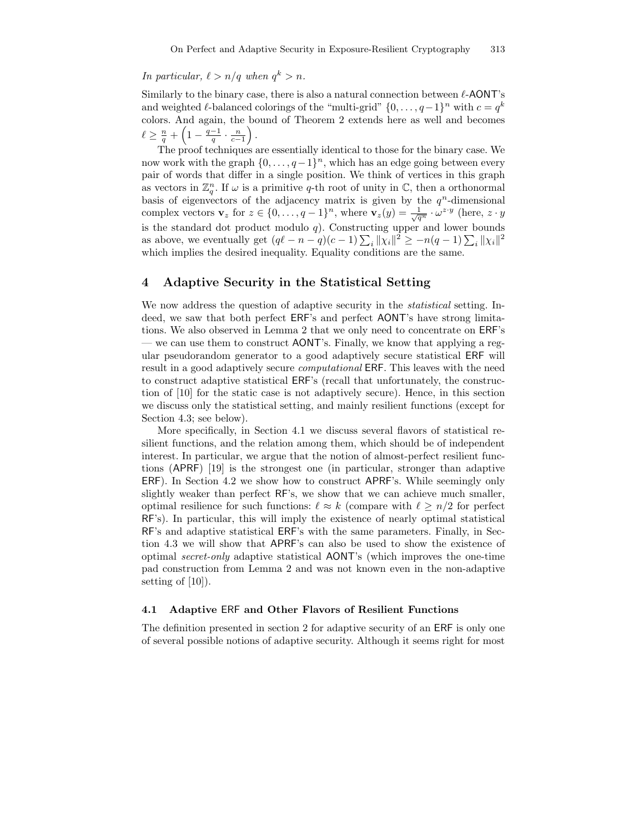# In particular,  $\ell > n/q$  when  $q^k > n$ .

Similarly to the binary case, there is also a natural connection between  $\ell$ -AONT's and weighted  $\ell$ -balanced colorings of the "multi-grid"  $\{0, \ldots, q-1\}^n$  with  $c = q^k$ colors. And again, the bound of Theorem 2 extends here as well and becomes  $\ell \geq \frac{n}{q} + \left(1 - \frac{q-1}{q} \cdot \frac{n}{c-1}\right)$ ´ .

The proof techniques are essentially identical to those for the binary case. We now work with the graph  $\{0, \ldots, q-1\}^n$ , which has an edge going between every pair of words that differ in a single position. We think of vertices in this graph as vectors in  $\mathbb{Z}_q^n$ . If  $\omega$  is a primitive q-th root of unity in  $\mathbb{C}$ , then a orthonormal basis of eigenvectors of the adjacency matrix is given by the  $q^n$ -dimensional complex vectors  $\mathbf{v}_z$  for  $z \in \{0, \ldots, q-1\}^n$ , where  $\mathbf{v}_z(y) = \frac{1}{\sqrt{q^n}} \cdot \omega^{z \cdot y}$  (here,  $z \cdot y$ is the standard dot product modulo  $q$ ). Constructing upper and lower bounds as above, we eventually get  $(q\ell - n - q)(c - 1) \sum_i ||x_i||^2 \ge -n(q - 1) \sum_i ||x_i||^2$ which implies the desired inequality. Equality conditions are the same.

# 4 Adaptive Security in the Statistical Setting

We now address the question of adaptive security in the *statistical* setting. Indeed, we saw that both perfect ERF's and perfect AONT's have strong limitations. We also observed in Lemma 2 that we only need to concentrate on ERF's — we can use them to construct AONT's. Finally, we know that applying a regular pseudorandom generator to a good adaptively secure statistical ERF will result in a good adaptively secure computational ERF. This leaves with the need to construct adaptive statistical ERF's (recall that unfortunately, the construction of [10] for the static case is not adaptively secure). Hence, in this section we discuss only the statistical setting, and mainly resilient functions (except for Section 4.3; see below).

More specifically, in Section 4.1 we discuss several flavors of statistical resilient functions, and the relation among them, which should be of independent interest. In particular, we argue that the notion of almost-perfect resilient functions (APRF) [19] is the strongest one (in particular, stronger than adaptive ERF). In Section 4.2 we show how to construct APRF's. While seemingly only slightly weaker than perfect RF's, we show that we can achieve much smaller, optimal resilience for such functions:  $\ell \approx k$  (compare with  $\ell \geq n/2$  for perfect RF's). In particular, this will imply the existence of nearly optimal statistical RF's and adaptive statistical ERF's with the same parameters. Finally, in Section 4.3 we will show that APRF's can also be used to show the existence of optimal secret-only adaptive statistical AONT's (which improves the one-time pad construction from Lemma 2 and was not known even in the non-adaptive setting of [10]).

#### 4.1 Adaptive ERF and Other Flavors of Resilient Functions

The definition presented in section 2 for adaptive security of an ERF is only one of several possible notions of adaptive security. Although it seems right for most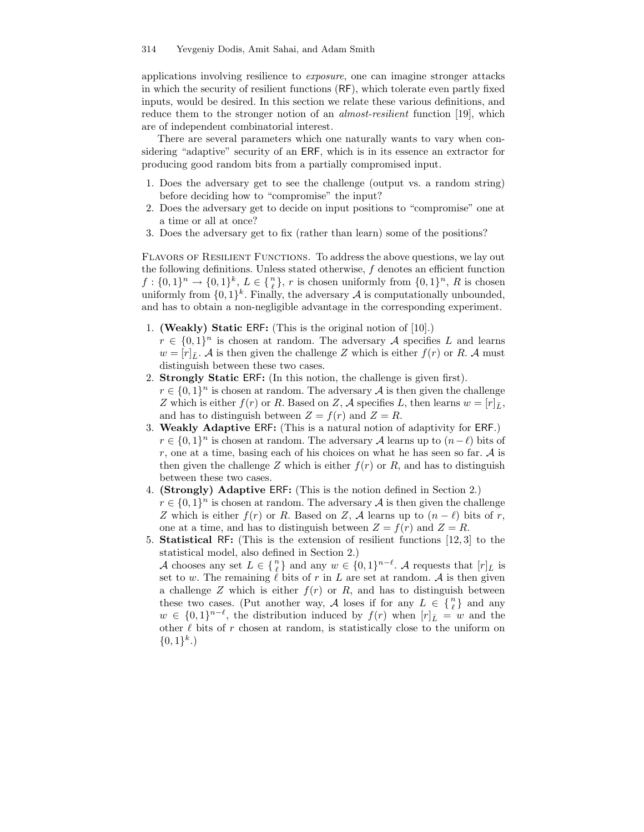applications involving resilience to exposure, one can imagine stronger attacks in which the security of resilient functions (RF), which tolerate even partly fixed inputs, would be desired. In this section we relate these various definitions, and reduce them to the stronger notion of an *almost-resilient* function [19], which are of independent combinatorial interest.

There are several parameters which one naturally wants to vary when considering "adaptive" security of an ERF, which is in its essence an extractor for producing good random bits from a partially compromised input.

- 1. Does the adversary get to see the challenge (output vs. a random string) before deciding how to "compromise" the input?
- 2. Does the adversary get to decide on input positions to "compromise" one at a time or all at once?
- 3. Does the adversary get to fix (rather than learn) some of the positions?

Flavors of Resilient Functions. To address the above questions, we lay out the following definitions. Unless stated otherwise,  $f$  denotes an efficient function  $f: \{0,1\}^n \to \{0,1\}^k, L \in \{\frac{n}{\ell}\}, r$  is chosen uniformly from  $\{0,1\}^n, R$  is chosen uniformly from  $\{0,1\}^k$ . Finally, the adversary A is computationally unbounded, and has to obtain a non-negligible advantage in the corresponding experiment.

- 1. (Weakly) Static ERF: (This is the original notion of [10].)
- $r \in \{0,1\}^n$  is chosen at random. The adversary A specifies L and learns  $w = [r]_{\bar{L}}$ . A is then given the challenge Z which is either  $f(r)$  or R. A must distinguish between these two cases.
- 2. Strongly Static ERF: (In this notion, the challenge is given first).  $r \in \{0,1\}^n$  is chosen at random. The adversary A is then given the challenge Z which is either  $f(r)$  or R. Based on Z, A specifies L, then learns  $w = [r]_{\bar{L}},$ and has to distinguish between  $Z = f(r)$  and  $Z = R$ .
- 3. Weakly Adaptive ERF: (This is a natural notion of adaptivity for ERF.)  $r \in \{0,1\}^n$  is chosen at random. The adversary A learns up to  $(n-\ell)$  bits of r, one at a time, basing each of his choices on what he has seen so far.  $A$  is then given the challenge Z which is either  $f(r)$  or R, and has to distinguish between these two cases.
- 4. (Strongly) Adaptive ERF: (This is the notion defined in Section 2.)  $r \in \{0,1\}^n$  is chosen at random. The adversary A is then given the challenge Z which is either  $f(r)$  or R. Based on Z, A learns up to  $(n - \ell)$  bits of r, one at a time, and has to distinguish between  $Z = f(r)$  and  $Z = R$ .
- 5. Statistical RF: (This is the extension of resilient functions [12, 3] to the statistical model, also defined in Section 2.)

A chooses any set  $L \in \{n\}$  and any  $w \in \{0,1\}^{n-\ell}$ . A requests that  $[r]_{\bar{L}}$  is set to w. The remaining  $\ell$  bits of r in L are set at random. A is then given a challenge Z which is either  $f(r)$  or R, and has to distinguish between these two cases. (Put another way, A loses if for any  $L \in \{n\}$  and any  $w \in \{0,1\}^{n-\ell}$ , the distribution induced by  $f(r)$  when  $[r]_{\bar{L}} = w$  and the other  $\ell$  bits of r chosen at random, is statistically close to the uniform on  $\{0,1\}^k$ .)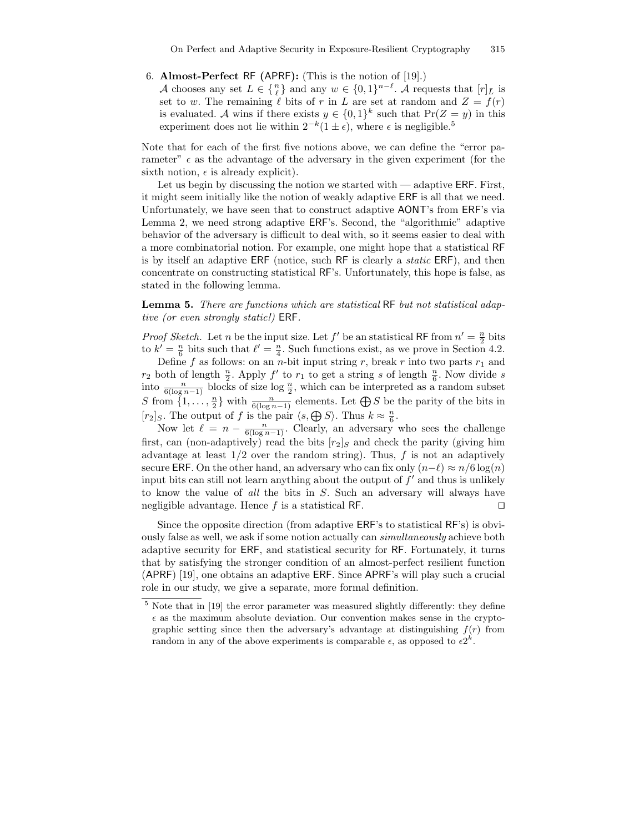#### 6. Almost-Perfect RF (APRF): (This is the notion of [19].)

A chooses any set  $L \in \{n\}$  and any  $w \in \{0,1\}^{n-\ell}$ . A requests that  $[r]_{\bar{L}}$  is set to w. The remaining  $\ell$  bits of r in L are set at random and  $Z = f(r)$ is evaluated. A wins if there exists  $y \in \{0,1\}^k$  such that  $\Pr(Z = y)$  in this experiment does not lie within  $2^{-k}(1 \pm \epsilon)$ , where  $\epsilon$  is negligible.<sup>5</sup>

Note that for each of the first five notions above, we can define the "error parameter"  $\epsilon$  as the advantage of the adversary in the given experiment (for the sixth notion,  $\epsilon$  is already explicit).

Let us begin by discussing the notion we started with  $-$  adaptive ERF. First, it might seem initially like the notion of weakly adaptive ERF is all that we need. Unfortunately, we have seen that to construct adaptive AONT's from ERF's via Lemma 2, we need strong adaptive ERF's. Second, the "algorithmic" adaptive behavior of the adversary is difficult to deal with, so it seems easier to deal with a more combinatorial notion. For example, one might hope that a statistical RF is by itself an adaptive ERF (notice, such RF is clearly a static ERF), and then concentrate on constructing statistical RF's. Unfortunately, this hope is false, as stated in the following lemma.

Lemma 5. There are functions which are statistical RF but not statistical adaptive (or even strongly static!) ERF.

*Proof Sketch.* Let *n* be the input size. Let *f'* be an statistical RF from  $n' = \frac{n}{2}$  bits to  $k' = \frac{n}{6}$  bits such that  $\ell' = \frac{n}{4}$ . Such functions exist, as we prove in Section 4.2.

Define f as follows: on an n-bit input string r, break r into two parts  $r_1$  and  $r_2$  both of length  $\frac{n}{2}$ . Apply  $f'$  to  $r_1$  to get a string s of length  $\frac{n}{6}$ . Now divide s into  $\frac{n}{6(\log n - 1)}$  blocks of size  $\log \frac{n}{2}$ , which can be interpreted as a random subset S from  $\{1,\ldots,\frac{n}{2}\}$  with  $\frac{n}{6(\log n-1)}$  elements. Let  $\bigoplus S$  be the parity of the bits in  $[r_2]_S$ . The output of f is the pair  $\langle s, \bigoplus S \rangle$ . Thus  $k \approx \frac{n}{6}$ .

Now let  $\ell = n - \frac{n}{6(\log n - 1)}$ . Clearly, an adversary who sees the challenge first, can (non-adaptively) read the bits  $[r_2]_S$  and check the parity (giving him advantage at least  $1/2$  over the random string). Thus,  $f$  is not an adaptively secure ERF. On the other hand, an adversary who can fix only  $(n-\ell) \approx n/6 \log(n)$ input bits can still not learn anything about the output of  $f'$  and thus is unlikely to know the value of all the bits in S. Such an adversary will always have negligible advantage. Hence  $f$  is a statistical RF.  $\Box$ 

Since the opposite direction (from adaptive ERF's to statistical RF's) is obviously false as well, we ask if some notion actually can *simultaneously* achieve both adaptive security for ERF, and statistical security for RF. Fortunately, it turns that by satisfying the stronger condition of an almost-perfect resilient function (APRF) [19], one obtains an adaptive ERF. Since APRF's will play such a crucial role in our study, we give a separate, more formal definition.

<sup>5</sup> Note that in [19] the error parameter was measured slightly differently: they define  $\epsilon$  as the maximum absolute deviation. Our convention makes sense in the cryptographic setting since then the adversary's advantage at distinguishing  $f(r)$  from random in any of the above experiments is comparable  $\epsilon$ , as opposed to  $\epsilon 2^k$ .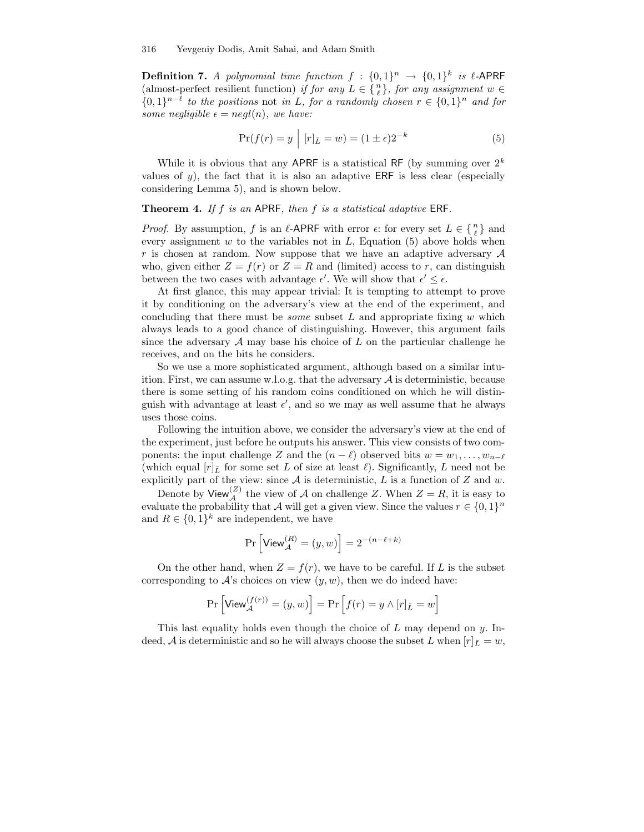**Definition 7.** A polynomial time function  $f : \{0,1\}^n \to \{0,1\}^k$  is  $\ell$ -APRF (almost-perfect resilient function) if for any  $L \in \{n\}$ , for any assignment  $w \in$  ${0,1}^{n-\ell}$  to the positions not in L, for a randomly chosen  $r \in {0,1}^n$  and for some negligible  $\epsilon = negl(n)$ , we have:

$$
Pr(f(r) = y \mid [r]_{\bar{L}} = w) = (1 \pm \epsilon)2^{-k}
$$
\n<sup>(5)</sup>

While it is obvious that any APRF is a statistical RF (by summing over  $2^k$ values of y), the fact that it is also an adaptive ERF is less clear (especially considering Lemma 5), and is shown below.

## **Theorem 4.** If f is an APRF, then f is a statistical adaptive ERF.

*Proof.* By assumption, f is an  $\ell$ -APRF with error  $\epsilon$ : for every set  $L \in \{n\}$  and every assignment  $w$  to the variables not in  $L$ , Equation (5) above holds when r is chosen at random. Now suppose that we have an adaptive adversary  $A$ who, given either  $Z = f(r)$  or  $Z = R$  and (limited) access to r, can distinguish between the two cases with advantage  $\epsilon'$ . We will show that  $\epsilon' \leq \epsilon$ .

At first glance, this may appear trivial: It is tempting to attempt to prove it by conditioning on the adversary's view at the end of the experiment, and concluding that there must be *some* subset  $L$  and appropriate fixing  $w$  which always leads to a good chance of distinguishing. However, this argument fails since the adversary  $A$  may base his choice of  $L$  on the particular challenge he receives, and on the bits he considers.

So we use a more sophisticated argument, although based on a similar intuition. First, we can assume w.l.o.g. that the adversary  $A$  is deterministic, because there is some setting of his random coins conditioned on which he will distinguish with advantage at least  $\epsilon'$ , and so we may as well assume that he always uses those coins.

Following the intuition above, we consider the adversary's view at the end of the experiment, just before he outputs his answer. This view consists of two components: the input challenge Z and the  $(n - \ell)$  observed bits  $w = w_1, \ldots, w_{n-\ell}$ (which equal  $[r]_{\bar{L}}$  for some set L of size at least  $\ell$ ). Significantly, L need not be explicitly part of the view: since  $A$  is deterministic,  $L$  is a function of  $Z$  and  $w$ .

Denote by View<sup>(Z)</sup> the view of A on challenge Z. When  $Z = R$ , it is easy to evaluate the probability that A will get a given view. Since the values  $r \in \{0,1\}^n$ and  $R \in \{0,1\}^k$  are independent, we have

$$
\Pr\left[\mathsf{View}_{\mathcal{A}}^{(R)}=(y,w)\right]=2^{-(n-\ell+k)}
$$

On the other hand, when  $Z = f(r)$ , we have to be careful. If L is the subset corresponding to  $A$ 's choices on view  $(y, w)$ , then we do indeed have:

$$
\Pr\left[\mathsf{View}_{\mathcal{A}}^{(f(r))} = (y,w)\right] = \Pr\left[f(r) = y \wedge [r]_{\bar{L}} = w\right]
$$

This last equality holds even though the choice of  $L$  may depend on  $y$ . Indeed, A is deterministic and so he will always choose the subset L when  $[r]_{\bar{L}} = w$ ,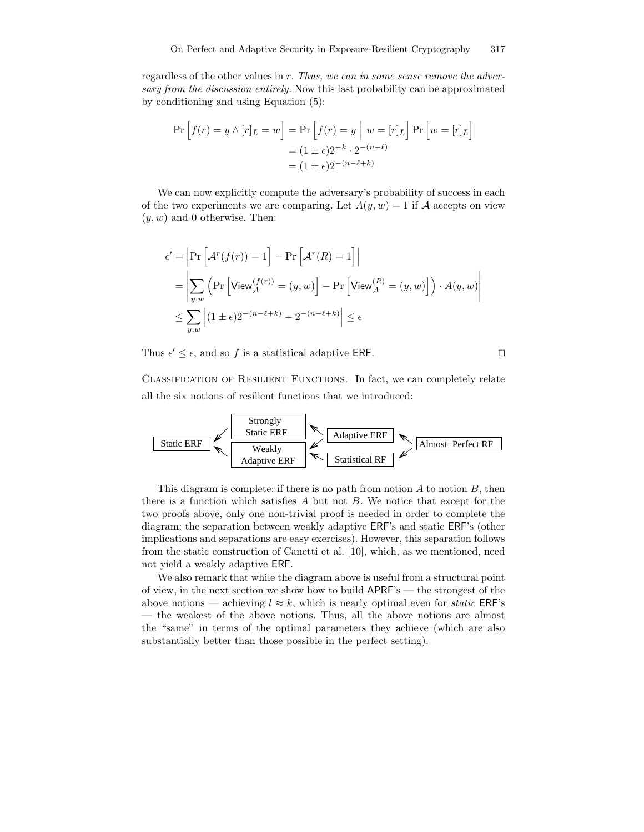regardless of the other values in  $r$ . Thus, we can in some sense remove the adversary from the discussion entirely. Now this last probability can be approximated by conditioning and using Equation (5):

$$
\Pr\left[f(r) = y \land [r]_L = w\right] = \Pr\left[f(r) = y \mid w = [r]_L\right] \Pr\left[w = [r]_L\right]
$$

$$
= (1 \pm \epsilon)2^{-k} \cdot 2^{-(n-\ell)}
$$

$$
= (1 \pm \epsilon)2^{-(n-\ell+k)}
$$

We can now explicitly compute the adversary's probability of success in each of the two experiments we are comparing. Let  $A(y, w) = 1$  if A accepts on view  $(y, w)$  and 0 otherwise. Then:

$$
\epsilon' = \left| \Pr \left[ \mathcal{A}^r(f(r)) = 1 \right] - \Pr \left[ \mathcal{A}^r(R) = 1 \right] \right|
$$
  
= 
$$
\left| \sum_{y,w} \left( \Pr \left[ \text{View}_{\mathcal{A}}^{(f(r))} = (y,w) \right] - \Pr \left[ \text{View}_{\mathcal{A}}^{(R)} = (y,w) \right] \right) \cdot A(y,w) \right|
$$
  

$$
\leq \sum_{y,w} \left| (1 \pm \epsilon) 2^{-(n-\ell+k)} - 2^{-(n-\ell+k)} \right| \leq \epsilon
$$

Thus  $\epsilon' \leq \epsilon$ , and so f is a statistical adaptive ERF.

CLASSIFICATION OF RESILIENT FUNCTIONS. In fact, we can completely relate all the six notions of resilient functions that we introduced:



This diagram is complete: if there is no path from notion  $A$  to notion  $B$ , then there is a function which satisfies  $A$  but not  $B$ . We notice that except for the two proofs above, only one non-trivial proof is needed in order to complete the diagram: the separation between weakly adaptive ERF's and static ERF's (other implications and separations are easy exercises). However, this separation follows from the static construction of Canetti et al. [10], which, as we mentioned, need not yield a weakly adaptive ERF.

We also remark that while the diagram above is useful from a structural point of view, in the next section we show how to build APRF's — the strongest of the above notions — achieving  $l \approx k$ , which is nearly optimal even for *static* ERF's — the weakest of the above notions. Thus, all the above notions are almost the "same" in terms of the optimal parameters they achieve (which are also substantially better than those possible in the perfect setting).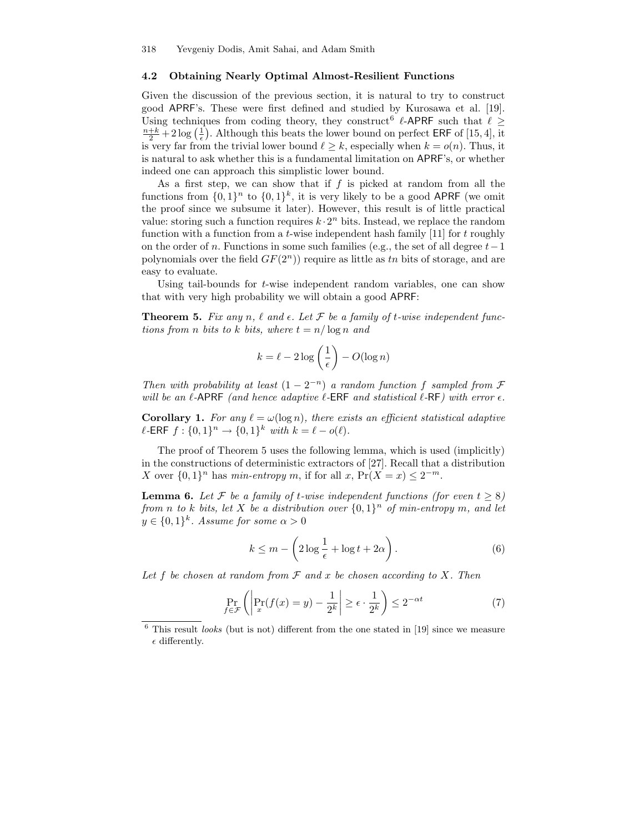#### 4.2 Obtaining Nearly Optimal Almost-Resilient Functions

Given the discussion of the previous section, it is natural to try to construct good APRF's. These were first defined and studied by Kurosawa et al. [19]. Using techniques from coding theory, they construct  $\ell$ -APRF such that  $\ell \geq$  $\frac{n+k}{2}+2\log\left(\frac{1}{\epsilon}\right)$ . Although this beats the lower bound on perfect ERF of [15, 4], it is very far from the trivial lower bound  $\ell \geq k$ , especially when  $k = o(n)$ . Thus, it is natural to ask whether this is a fundamental limitation on APRF's, or whether indeed one can approach this simplistic lower bound.

As a first step, we can show that if  $f$  is picked at random from all the functions from  $\{0,1\}^n$  to  $\{0,1\}^k$ , it is very likely to be a good APRF (we omit the proof since we subsume it later). However, this result is of little practical value: storing such a function requires  $k \cdot 2^n$  bits. Instead, we replace the random function with a function from a  $t$ -wise independent hash family [11] for  $t$  roughly on the order of n. Functions in some such families (e.g., the set of all degree  $t-1$ polynomials over the field  $GF(2<sup>n</sup>)$  require as little as tn bits of storage, and are easy to evaluate.

Using tail-bounds for  $t$ -wise independent random variables, one can show that with very high probability we will obtain a good APRF:

**Theorem 5.** Fix any n,  $\ell$  and  $\epsilon$ . Let  $\mathcal F$  be a family of t-wise independent functions from n bits to k bits, where  $t = n/\log n$  and

$$
k = \ell - 2\log\left(\frac{1}{\epsilon}\right) - O(\log n)
$$

Then with probability at least  $(1 - 2^{-n})$  a random function f sampled from  $\mathcal F$ will be an  $\ell$ -APRF (and hence adaptive  $\ell$ -ERF and statistical  $\ell$ -RF) with error  $\epsilon$ .

**Corollary 1.** For any  $\ell = \omega(\log n)$ , there exists an efficient statistical adaptive  $\ell$ -ERF  $f : \{0, 1\}^n \to \{0, 1\}^k$  with  $k = \ell - o(\ell)$ .

The proof of Theorem 5 uses the following lemma, which is used (implicitly) in the constructions of deterministic extractors of [27]. Recall that a distribution X over  $\{0,1\}^n$  has min-entropy m, if for all x,  $Pr(X = x) \le 2^{-m}$ .

**Lemma 6.** Let F be a family of t-wise independent functions (for even  $t \geq 8$ ) from n to k bits, let X be a distribution over  $\{0,1\}^n$  of min-entropy m, and let  $y \in \{0,1\}^k$ . Assume for some  $\alpha > 0$ 

$$
k \le m - \left(2\log\frac{1}{\epsilon} + \log t + 2\alpha\right). \tag{6}
$$

Let f be chosen at random from  $\mathcal F$  and x be chosen according to X. Then

$$
\Pr_{f \in \mathcal{F}} \left( \left| \Pr_x(f(x) = y) - \frac{1}{2^k} \right| \ge \epsilon \cdot \frac{1}{2^k} \right) \le 2^{-\alpha t} \tag{7}
$$

 $6$  This result *looks* (but is not) different from the one stated in [19] since we measure  $\epsilon$  differently.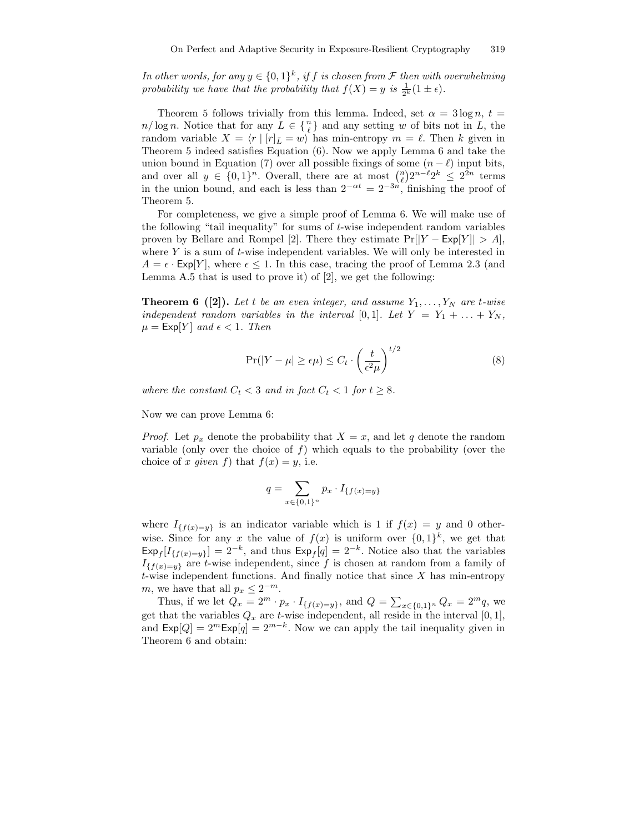In other words, for any  $y \in \{0,1\}^k$ , if f is chosen from  $\mathcal F$  then with overwhelming probability we have that the probability that  $f(X) = y$  is  $\frac{1}{2^k}(1 \pm \epsilon)$ .

Theorem 5 follows trivially from this lemma. Indeed, set  $\alpha = 3 \log n$ ,  $t =$  $n/\log n$ . Notice that for any  $L \in \{n\}$  and any setting w of bits not in L, the random variable  $X = \langle r | [r]_{\bar{L}} = w \rangle$  has min-entropy  $m = \ell$ . Then k given in Theorem 5 indeed satisfies Equation (6). Now we apply Lemma 6 and take the union bound in Equation (7) over all possible fixings of some  $(n - \ell)$  input bits, and over all  $y \in \{0,1\}^n$ . Overall, there are at most  $\binom{n}{\ell} 2^{n-\ell} 2^k \leq 2^{2n}$  terms in the union bound, and each is less than  $2^{-\alpha t} = 2^{-3n}$ , finishing the proof of Theorem 5.

For completeness, we give a simple proof of Lemma 6. We will make use of the following "tail inequality" for sums of t-wise independent random variables proven by Bellare and Rompel [2]. There they estimate  $Pr[|Y - Exp[Y]| > A]$ , where Y is a sum of  $t$ -wise independent variables. We will only be interested in  $A = \epsilon \cdot \text{Exp}[Y]$ , where  $\epsilon \leq 1$ . In this case, tracing the proof of Lemma 2.3 (and Lemma A.5 that is used to prove it) of [2], we get the following:

**Theorem 6** ([2]). Let t be an even integer, and assume  $Y_1, \ldots, Y_N$  are t-wise independent random variables in the interval [0,1]. Let  $Y = Y_1 + \ldots + Y_N$ ,  $\mu = \text{Exp}[Y]$  and  $\epsilon < 1$ . Then

$$
\Pr(|Y - \mu| \ge \epsilon \mu) \le C_t \cdot \left(\frac{t}{\epsilon^2 \mu}\right)^{t/2} \tag{8}
$$

where the constant  $C_t < 3$  and in fact  $C_t < 1$  for  $t \geq 8$ .

Now we can prove Lemma 6:

*Proof.* Let  $p_x$  denote the probability that  $X = x$ , and let q denote the random variable (only over the choice of  $f$ ) which equals to the probability (over the choice of x given f) that  $f(x) = y$ , i.e.

$$
q = \sum_{x \in \{0,1\}^n} p_x \cdot I_{\{f(x) = y\}}
$$

where  $I_{\{f(x)=y\}}$  is an indicator variable which is 1 if  $f(x) = y$  and 0 otherwise. Since for any x the value of  $f(x)$  is uniform over  $\{0,1\}^k$ , we get that  $\text{Exp}_f[I_{\{f(x)=y\}}] = 2^{-k}$ , and thus  $\text{Exp}_f[q] = 2^{-k}$ . Notice also that the variables  $I_{\{f(x)=y\}}$  are t-wise independent, since f is chosen at random from a family of  $t$ -wise independent functions. And finally notice that since  $X$  has min-entropy m, we have that all  $p_x \leq 2^{-m}$ .

Thus, if we let  $Q_x = 2^m \cdot p_x \cdot I_{\{f(x)=y\}}$ , and  $Q = \sum_{x \in \{0,1\}^n} Q_x = 2^m q$ , we get that the variables  $Q_x$  are t-wise independent, all reside in the interval [0, 1], and  $\text{Exp}[Q] = 2^m \text{Exp}[q] = 2^{m-k}$ . Now we can apply the tail inequality given in Theorem 6 and obtain: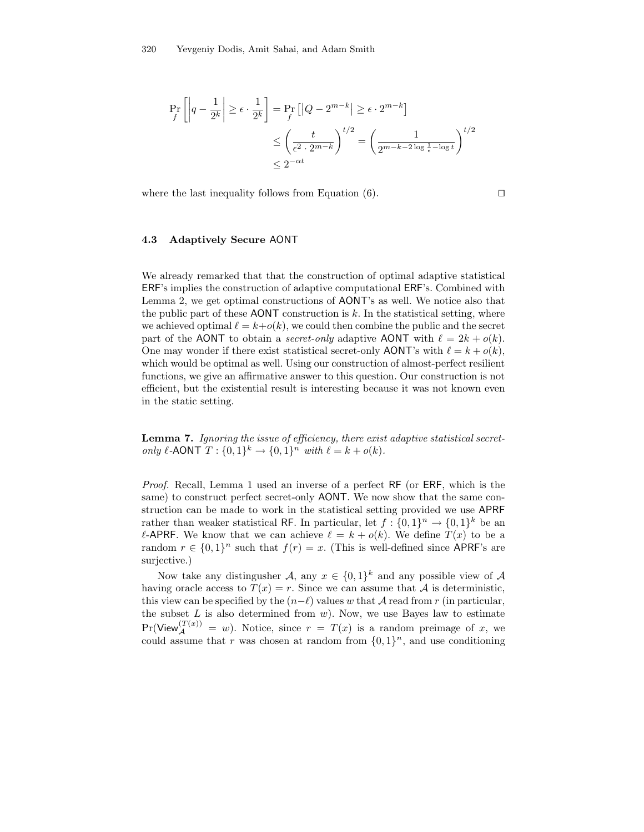$$
\Pr_f\left[\left|q - \frac{1}{2^k}\right| \ge \epsilon \cdot \frac{1}{2^k}\right] = \Pr_f\left[\left|Q - 2^{m-k}\right| \ge \epsilon \cdot 2^{m-k}\right]
$$
\n
$$
\le \left(\frac{t}{\epsilon^2 \cdot 2^{m-k}}\right)^{t/2} = \left(\frac{1}{2^{m-k-2\log\frac{1}{\epsilon} - \log t}}\right)^{t/2}
$$
\n
$$
\le 2^{-\alpha t}
$$

where the last inequality follows from Equation  $(6)$ .

#### 4.3 Adaptively Secure AONT

We already remarked that that the construction of optimal adaptive statistical ERF's implies the construction of adaptive computational ERF's. Combined with Lemma 2, we get optimal constructions of AONT's as well. We notice also that the public part of these AONT construction is  $k$ . In the statistical setting, where we achieved optimal  $\ell = k+o(k)$ , we could then combine the public and the secret part of the AONT to obtain a *secret-only* adaptive AONT with  $\ell = 2k + o(k)$ . One may wonder if there exist statistical secret-only AONT's with  $\ell = k + o(k)$ , which would be optimal as well. Using our construction of almost-perfect resilient functions, we give an affirmative answer to this question. Our construction is not efficient, but the existential result is interesting because it was not known even in the static setting.

Lemma 7. Ignoring the issue of efficiency, there exist adaptive statistical secretonly  $\ell$ -AONT  $T : \{0, 1\}^k \to \{0, 1\}^n$  with  $\ell = k + o(k)$ .

Proof. Recall, Lemma 1 used an inverse of a perfect RF (or ERF, which is the same) to construct perfect secret-only AONT. We now show that the same construction can be made to work in the statistical setting provided we use APRF rather than weaker statistical RF. In particular, let  $f: \{0,1\}^n \to \{0,1\}^k$  be an  $\ell$ -APRF. We know that we can achieve  $\ell = k + o(k)$ . We define  $T(x)$  to be a random  $r \in \{0,1\}^n$  such that  $f(r) = x$ . (This is well-defined since APRF's are surjective.)

Now take any distingusher A, any  $x \in \{0,1\}^k$  and any possible view of A having oracle access to  $T(x) = r$ . Since we can assume that A is deterministic, this view can be specified by the  $(n-\ell)$  values w that A read from r (in particular, the subset  $L$  is also determined from  $w$ ). Now, we use Bayes law to estimate  $Pr(\text{View}_{\mathcal{A}}^{(T(x))} = w)$ . Notice, since  $r = T(x)$  is a random preimage of x, we could assume that r was chosen at random from  $\{0,1\}^n$ , and use conditioning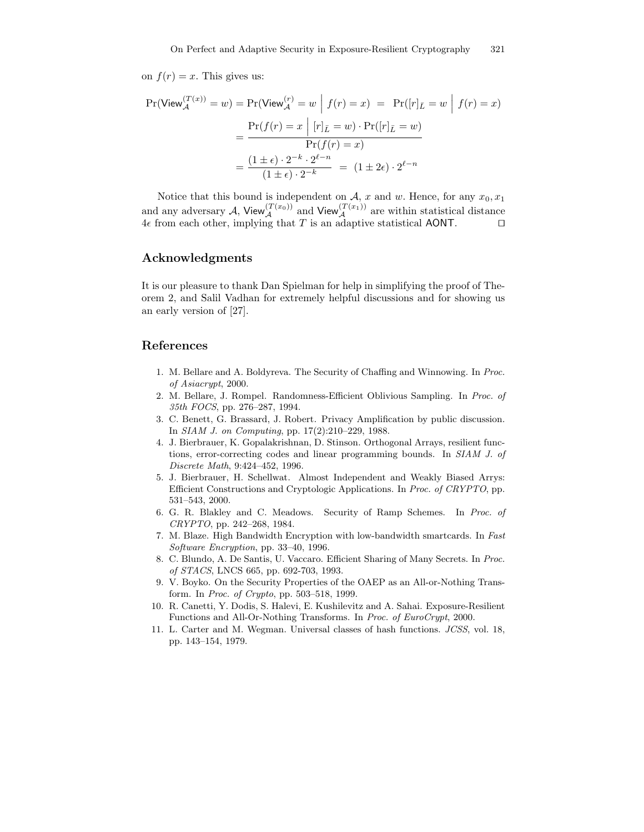on  $f(r) = x$ . This gives us:

$$
\Pr(\text{View}_{\mathcal{A}}^{(T(x))} = w) = \Pr(\text{View}_{\mathcal{A}}^{(r)} = w \mid f(r) = x) = \Pr([r]_{\bar{L}} = w \mid f(r) = x)
$$

$$
= \frac{\Pr(f(r) = x \mid [r]_{\bar{L}} = w) \cdot \Pr([r]_{\bar{L}} = w)}{\Pr(f(r) = x)}
$$

$$
= \frac{(1 \pm \epsilon) \cdot 2^{-k} \cdot 2^{\ell - n}}{(1 \pm \epsilon) \cdot 2^{-k}} = (1 \pm 2\epsilon) \cdot 2^{\ell - n}
$$

Notice that this bound is independent on A, x and w. Hence, for any  $x_0, x_1$ and any adversary A, View $\mathcal{A}^{(T(x_0))}$  and View $\mathcal{A}^{(T(x_1))}$  are within statistical distance 4 $\epsilon$  from each other, implying that T is an adaptive statistical AONT.  $\square$ 

# Acknowledgments

It is our pleasure to thank Dan Spielman for help in simplifying the proof of Theorem 2, and Salil Vadhan for extremely helpful discussions and for showing us an early version of [27].

# References

- 1. M. Bellare and A. Boldyreva. The Security of Chaffing and Winnowing. In Proc. of Asiacrypt, 2000.
- 2. M. Bellare, J. Rompel. Randomness-Efficient Oblivious Sampling. In Proc. of 35th FOCS, pp. 276–287, 1994.
- 3. C. Benett, G. Brassard, J. Robert. Privacy Amplification by public discussion. In SIAM J. on Computing, pp. 17(2):210–229, 1988.
- 4. J. Bierbrauer, K. Gopalakrishnan, D. Stinson. Orthogonal Arrays, resilient functions, error-correcting codes and linear programming bounds. In SIAM J. of Discrete Math, 9:424–452, 1996.
- 5. J. Bierbrauer, H. Schellwat. Almost Independent and Weakly Biased Arrys: Efficient Constructions and Cryptologic Applications. In Proc. of CRYPTO, pp. 531–543, 2000.
- 6. G. R. Blakley and C. Meadows. Security of Ramp Schemes. In Proc. of CRYPTO, pp. 242–268, 1984.
- 7. M. Blaze. High Bandwidth Encryption with low-bandwidth smartcards. In Fast Software Encryption, pp. 33–40, 1996.
- 8. C. Blundo, A. De Santis, U. Vaccaro. Efficient Sharing of Many Secrets. In Proc. of STACS, LNCS 665, pp. 692-703, 1993.
- 9. V. Boyko. On the Security Properties of the OAEP as an All-or-Nothing Transform. In Proc. of Crypto, pp. 503–518, 1999.
- 10. R. Canetti, Y. Dodis, S. Halevi, E. Kushilevitz and A. Sahai. Exposure-Resilient Functions and All-Or-Nothing Transforms. In Proc. of EuroCrypt, 2000.
- 11. L. Carter and M. Wegman. Universal classes of hash functions. JCSS, vol. 18, pp. 143–154, 1979.